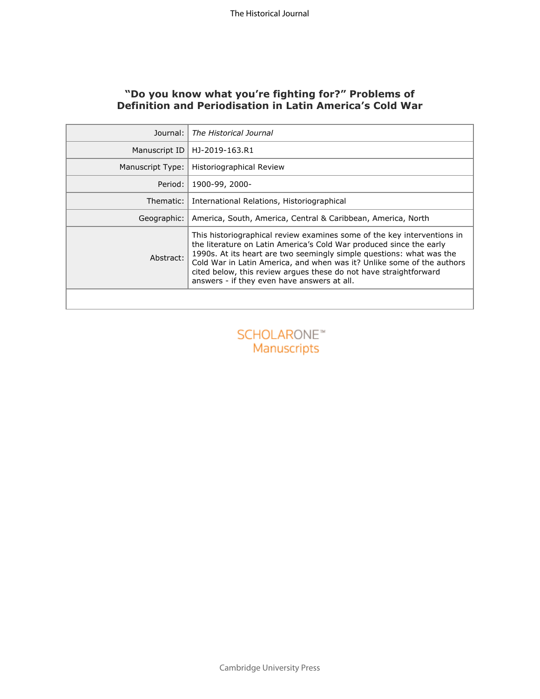# **"Do you know what you're fighting for?" Problems of Definition and Periodisation in Latin America's Cold War**

| Journal:                                 | The Historical Journal                                                                                                                                                                                                                                                                                                                                                                                               |
|------------------------------------------|----------------------------------------------------------------------------------------------------------------------------------------------------------------------------------------------------------------------------------------------------------------------------------------------------------------------------------------------------------------------------------------------------------------------|
| Manuscript ID                            | HJ-2019-163.R1                                                                                                                                                                                                                                                                                                                                                                                                       |
| Manuscript Type:                         | Historiographical Review                                                                                                                                                                                                                                                                                                                                                                                             |
| Period:                                  | 1900-99, 2000-                                                                                                                                                                                                                                                                                                                                                                                                       |
| Thematic:                                | International Relations, Historiographical                                                                                                                                                                                                                                                                                                                                                                           |
| Geographic:                              | America, South, America, Central & Caribbean, America, North                                                                                                                                                                                                                                                                                                                                                         |
| Abstract:                                | This historiographical review examines some of the key interventions in<br>the literature on Latin America's Cold War produced since the early<br>1990s. At its heart are two seemingly simple questions: what was the<br>Cold War in Latin America, and when was it? Unlike some of the authors<br>cited below, this review argues these do not have straightforward<br>answers - if they even have answers at all. |
|                                          |                                                                                                                                                                                                                                                                                                                                                                                                                      |
| <b>SCHOLARONE™</b><br><b>Manuscripts</b> |                                                                                                                                                                                                                                                                                                                                                                                                                      |
|                                          |                                                                                                                                                                                                                                                                                                                                                                                                                      |
|                                          |                                                                                                                                                                                                                                                                                                                                                                                                                      |
|                                          |                                                                                                                                                                                                                                                                                                                                                                                                                      |



Cambridge University Press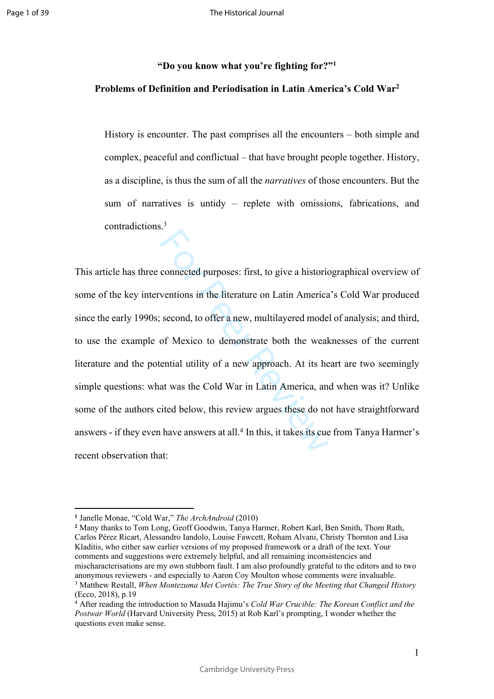# **"Do you know what you're fighting for?" 1 Problems of Definition and Periodisation in Latin America's Cold War 2**

History is encounter. The past comprises all the encounters – both simple and complex, peaceful and conflictual – that have brought people together. History, as a discipline, is thus the sum of all the *narratives* of those encounters. But the sum of narratives is untidy – replete with omissions, fabrications, and contradictions. 3

connected purposes: first, to give a historic<br>ventions in the literature on Latin America<br>second, to offer a new, multilayered mode<br>of Mexico to demonstrate both the weal<br>ential utility of a new approach. At its he<br>at was This article has three connected purposes: first, to give a historiographical overview of some of the key interventions in the literature on Latin America's Cold War produced since the early 1990s; second, to offer a new, multilayered model of analysis; and third, to use the example of Mexico to demonstrate both the weaknesses of the current literature and the potential utility of a new approach. At its heart are two seemingly simple questions: what was the Cold War in Latin America, and when was it? Unlike some of the authors cited below, this review argues these do not have straightforward answers - if they even have answers at all. 4 In this, it takes its cue from Tanya Harmer's recent observation that:

1

**<sup>1</sup>** Janelle Monae, "Cold War," *The ArchAndroid* (2010)

**<sup>2</sup>** Many thanks to Tom Long, Geoff Goodwin, Tanya Harmer, Robert Karl, Ben Smith, Thom Rath, Carlos Pérez Ricart, Alessandro Iandolo, Louise Fawcett, Roham Alvani, Christy Thornton and Lisa Kladitis, who either saw earlier versions of my proposed framework or a draft of the text. Your comments and suggestions were extremely helpful, and all remaining inconsistencies and mischaracterisations are my own stubborn fault. I am also profoundly grateful to the editors and to two anonymous reviewers - and especially to Aaron Coy Moulton whose comments were invaluable. 3 Matthew Restall, *When Montezuma Met Cortés: The True Story of the Meeting that Changed History*  (Ecco, 2018), p.19

<sup>4</sup> After reading the introduction to Masuda Hajimu's *Cold War Crucible: The Korean Conflict and the Postwar World* (Harvard University Press, 2015) at Rob Karl's prompting, I wonder whether the questions even make sense.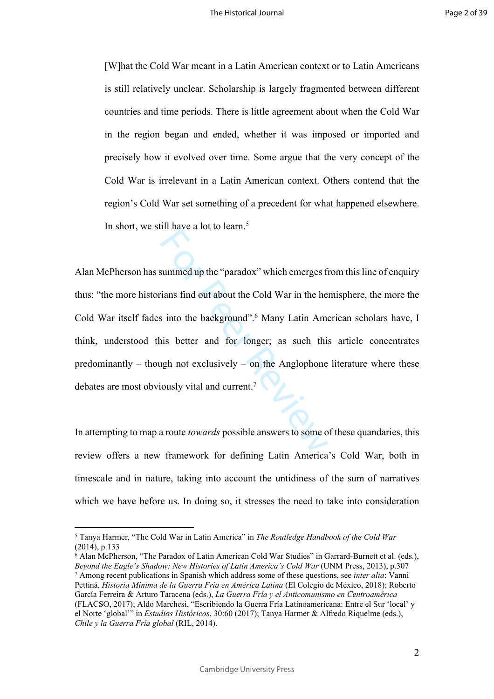[W]hat the Cold War meant in a Latin American context or to Latin Americans is still relatively unclear. Scholarship is largely fragmented between different countries and time periods. There is little agreement about when the Cold War in the region began and ended, whether it was imposed or imported and precisely how it evolved over time. Some argue that the very concept of the Cold War is irrelevant in a Latin American context. Others contend that the region's Cold War set something of a precedent for what happened elsewhere. In short, we still have a lot to learn. 5

summed up the "paradox" which emerges fit<br>ians find out about the Cold War in the here<br>is into the background".<sup>6</sup> Many Latin America<br>is better and for longer; as such this<br>ugh not exclusively – on the Anglophone<br>iously vi Alan McPherson has summed up the "paradox" which emerges from this line of enquiry thus: "the more historians find out about the Cold War in the hemisphere, the more the Cold War itself fades into the background". 6 Many Latin American scholars have, I think, understood this better and for longer; as such this article concentrates predominantly – though not exclusively – on the Anglophone literature where these debates are most obviously vital and current. 7

In attempting to map a route *towards* possible answers to some of these quandaries, this review offers a new framework for defining Latin America's Cold War, both in timescale and in nature, taking into account the untidiness of the sum of narratives which we have before us. In doing so, it stresses the need to take into consideration

<sup>5</sup> Tanya Harmer, "The Cold War in Latin America" in *The Routledge Handbook of the Cold War*  (2014), p.133

<sup>6</sup> Alan McPherson, "The Paradox of Latin American Cold War Studies" in Garrard-Burnett et al. (eds.), *Beyond the Eagle's Shadow: New Histories of Latin America's Cold War* (UNM Press, 2013), p.307 7 Among recent publications in Spanish which address some of these questions, see *inter alia*: Vanni Pettiná, *Historia Mínima de la Guerra Fría en América Latina* (El Colegio de México, 2018); Roberto García Ferreira & Arturo Taracena (eds.), *La Guerra Fría y el Anticomunismo en Centroamérica*  (FLACSO, 2017); Aldo Marchesi, "Escribiendo la Guerra Fría Latinoamericana: Entre el Sur 'local' y el Norte 'global'" in *Estudios Históricos*, 30:60 (2017); Tanya Harmer & Alfredo Riquelme (eds.), *Chile y la Guerra Fría global* (RIL, 2014).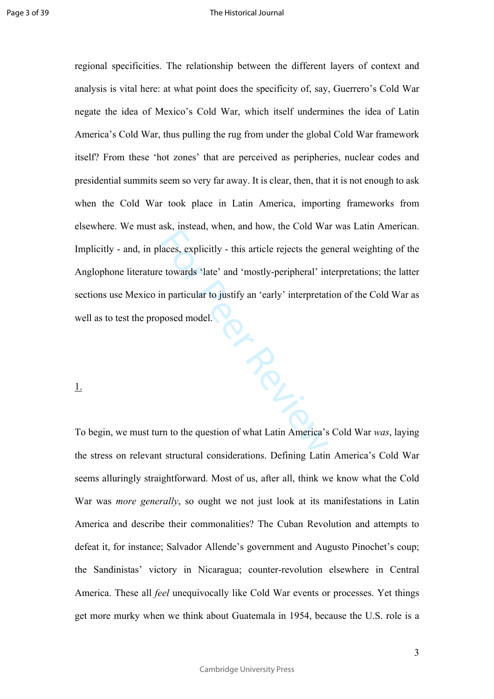**PRGICIPS** regional specificities. The relationship between the different layers of context and analysis is vital here: at what point does the specificity of, say, Guerrero's Cold War negate the idea of Mexico's Cold War, which itself undermines the idea of Latin America's Cold War, thus pulling the rug from under the global Cold War framework itself? From these 'hot zones' that are perceived as peripheries, nuclear codes and presidential summits seem so very far away. It is clear, then, that it is not enough to ask when the Cold War took place in Latin America, importing frameworks from elsewhere. We must ask, instead, when, and how, the Cold War was Latin American. Implicitly - and, in places, explicitly - this article rejects the general weighting of the Anglophone literature towards 'late' and 'mostly-peripheral' interpretations; the latter sections use Mexico in particular to justify an 'early' interpretation of the Cold War as well as to test the proposed model.

## 1.

To begin, we must turn to the question of what Latin America's Cold War *was*, laying the stress on relevant structural considerations. Defining Latin America's Cold War seems alluringly straightforward. Most of us, after all, think we know what the Cold War was *more generally*, so ought we not just look at its manifestations in Latin America and describe their commonalities? The Cuban Revolution and attempts to defeat it, for instance; Salvador Allende's government and Augusto Pinochet's coup; the Sandinistas' victory in Nicaragua; counter-revolution elsewhere in Central America. These all *feel* unequivocally like Cold War events or processes. Yet things get more murky when we think about Guatemala in 1954, because the U.S. role is a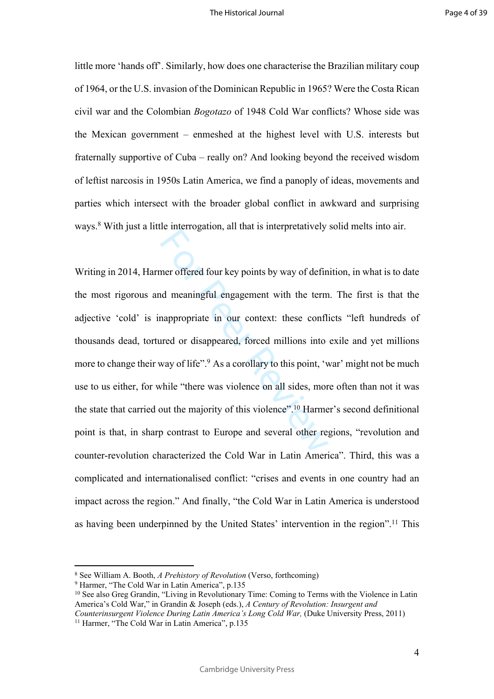little more 'hands off'. Similarly, how does one characterise the Brazilian military coup of 1964, or the U.S. invasion of the Dominican Republic in 1965? Were the Costa Rican civil war and the Colombian *Bogotazo* of 1948 Cold War conflicts? Whose side was the Mexican government – enmeshed at the highest level with U.S. interests but fraternally supportive of Cuba – really on? And looking beyond the received wisdom of leftist narcosis in 1950s Latin America, we find a panoply of ideas, movements and parties which intersect with the broader global conflict in awkward and surprising ways. 8 With just a little interrogation, all that is interpretatively solid melts into air.

The interior and the matrix of the properties of defined meaningful engagement with the term<br>nappropriate in our context: these conflicted or disappeared, forced millions into<br>way of life".<sup>9</sup> As a corollary to this point, Writing in 2014, Harmer offered four key points by way of definition, in what is to date the most rigorous and meaningful engagement with the term. The first is that the adjective 'cold' is inappropriate in our context: these conflicts "left hundreds of thousands dead, tortured or disappeared, forced millions into exile and yet millions more to change their way of life".<sup>9</sup> As a corollary to this point, 'war' might not be much use to us either, for while "there was violence on all sides, more often than not it was the state that carried out the majority of this violence".<sup>10</sup> Harmer's second definitional point is that, in sharp contrast to Europe and several other regions, "revolution and counter-revolution characterized the Cold War in Latin America". Third, this was a complicated and internationalised conflict: "crises and events in one country had an impact across the region." And finally, "the Cold War in Latin America is understood as having been underpinned by the United States' intervention in the region".11 This

<sup>8</sup> See William A. Booth, *A Prehistory of Revolution* (Verso, forthcoming)

<sup>&</sup>lt;sup>9</sup> Harmer, "The Cold War in Latin America", p.135

<sup>&</sup>lt;sup>10</sup> See also Greg Grandin, "Living in Revolutionary Time: Coming to Terms with the Violence in Latin America's Cold War," in Grandin & Joseph (eds.), *A Century of Revolution: Insurgent and Counterinsurgent Violence During Latin America's Long Cold War, (Duke University Press, 2011)* 

<sup>&</sup>lt;sup>11</sup> Harmer, "The Cold War in Latin America", p.135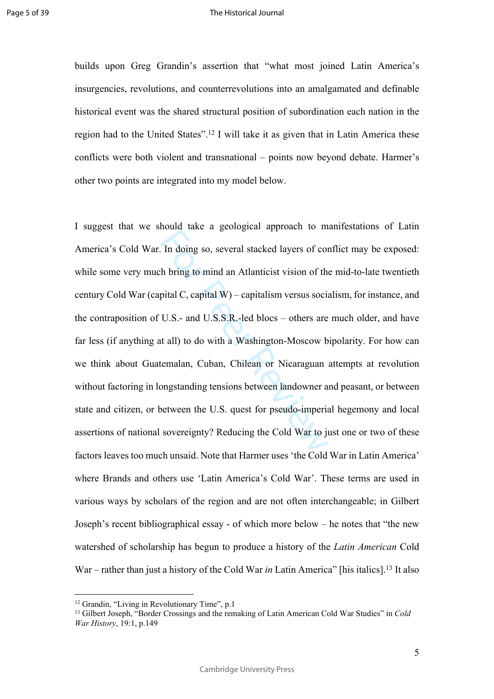builds upon Greg Grandin's assertion that "what most joined Latin America's insurgencies, revolutions, and counterrevolutions into an amalgamated and definable historical event was the shared structural position of subordination each nation in the region had to the United States".<sup>12</sup> I will take it as given that in Latin America these conflicts were both violent and transnational – points now beyond debate. Harmer's other two points are integrated into my model below.

In doing so, several stacked layers of complement to the bring to mind an Atlanticist vision of the pital C, capital W) – capitalism versus social U.S.- and U.S.S.R.-led blocs – others are trail) to do with a Washington-Mo I suggest that we should take a geological approach to manifestations of Latin America's Cold War. In doing so, several stacked layers of conflict may be exposed: while some very much bring to mind an Atlanticist vision of the mid-to-late twentieth century Cold War (capital C, capital W) – capitalism versus socialism, for instance, and the contraposition of U.S.- and U.S.S.R.-led blocs – others are much older, and have far less (if anything at all) to do with a Washington-Moscow bipolarity. For how can we think about Guatemalan, Cuban, Chilean or Nicaraguan attempts at revolution without factoring in longstanding tensions between landowner and peasant, or between state and citizen, or between the U.S. quest for pseudo-imperial hegemony and local assertions of national sovereignty? Reducing the Cold War to just one or two of these factors leaves too much unsaid. Note that Harmer uses 'the Cold War in Latin America' where Brands and others use 'Latin America's Cold War'. These terms are used in various ways by scholars of the region and are not often interchangeable; in Gilbert Joseph's recent bibliographical essay - of which more below – he notes that "the new watershed of scholarship has begun to produce a history of the *Latin American* Cold War – rather than just a history of the Cold War *in* Latin America" [his italics].<sup>13</sup> It also

<sup>12</sup> Grandin, "Living in Revolutionary Time", p.1

<sup>13</sup> Gilbert Joseph, "Border Crossings and the remaking of Latin American Cold War Studies" in *Cold War History*, 19:1, p.149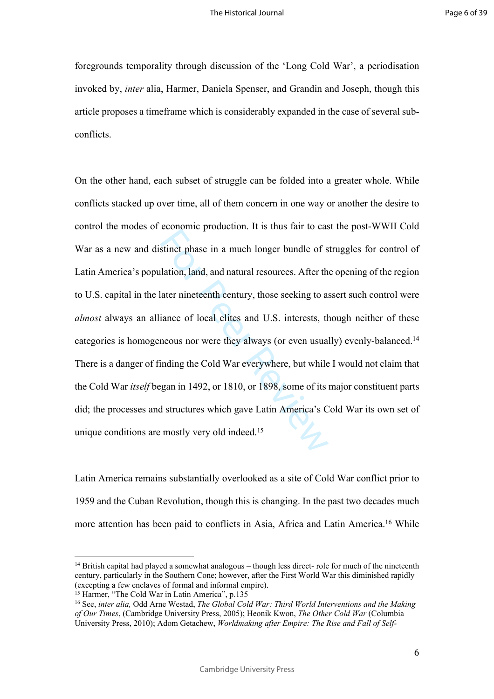foregrounds temporality through discussion of the 'Long Cold War', a periodisation invoked by, *inter* alia, Harmer, Daniela Spenser, and Grandin and Joseph, though this article proposes a timeframe which is considerably expanded in the case of several subconflicts.

Example production: The dide hand to dentified the state stinct phase in a much longer bundle of s<br>lation, land, and natural resources. After the<br>later nineteenth century, those seeking to a:<br>iance of local elites and U.S. On the other hand, each subset of struggle can be folded into a greater whole. While conflicts stacked up over time, all of them concern in one way or another the desire to control the modes of economic production. It is thus fair to cast the post-WWII Cold War as a new and distinct phase in a much longer bundle of struggles for control of Latin America's population, land, and natural resources. After the opening of the region to U.S. capital in the later nineteenth century, those seeking to assert such control were *almost* always an alliance of local elites and U.S. interests, though neither of these categories is homogeneous nor were they always (or even usually) evenly-balanced.<sup>14</sup> There is a danger of finding the Cold War everywhere, but while I would not claim that the Cold War *itself* began in 1492, or 1810, or 1898, some of its major constituent parts did; the processes and structures which gave Latin America's Cold War its own set of unique conditions are mostly very old indeed.<sup>15</sup>

Latin America remains substantially overlooked as a site of Cold War conflict prior to 1959 and the Cuban Revolution, though this is changing. In the past two decades much more attention has been paid to conflicts in Asia, Africa and Latin America.<sup>16</sup> While

<sup>&</sup>lt;sup>14</sup> British capital had played a somewhat analogous – though less direct- role for much of the nineteenth century, particularly in the Southern Cone; however, after the First World War this diminished rapidly (excepting a few enclaves of formal and informal empire).

<sup>&</sup>lt;sup>15</sup> Harmer, "The Cold War in Latin America", p.135

<sup>16</sup> See, *inter alia,* Odd Arne Westad, *The Global Cold War: Third World Interventions and the Making of Our Times*, (Cambridge University Press, 2005); Heonik Kwon, *The Other Cold War* (Columbia University Press, 2010); Adom Getachew, *Worldmaking after Empire: The Rise and Fall of Self-*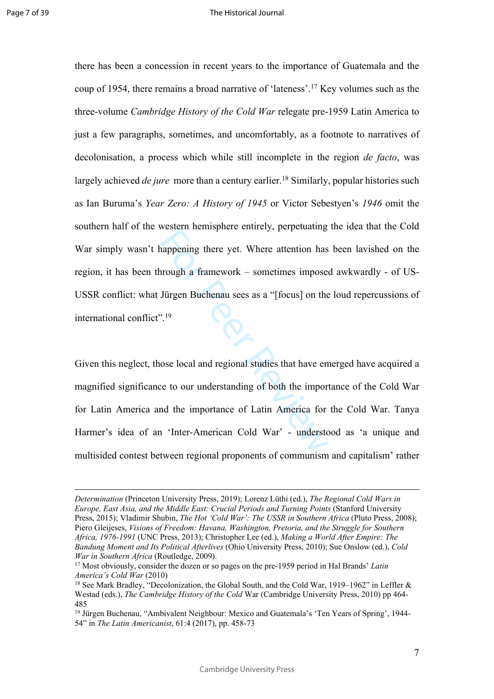there has been a concession in recent years to the importance of Guatemala and the coup of 1954, there remains a broad narrative of 'lateness'.<sup>17</sup> Key volumes such as the three-volume *Cambridge History of the Cold War* relegate pre-1959 Latin America to just a few paragraphs, sometimes, and uncomfortably, as a footnote to narratives of decolonisation, a process which while still incomplete in the region *de facto*, was largely achieved *de jure* more than a century earlier.<sup>18</sup> Similarly, popular histories such as Ian Buruma's *Year Zero: A History of 1945* or Victor Sebestyen's *1946* omit the southern half of the western hemisphere entirely, perpetuating the idea that the Cold War simply wasn't happening there yet. Where attention has been lavished on the region, it has been through a framework – sometimes imposed awkwardly - of US-USSR conflict: what Jürgen Buchenau sees as a "[focus] on the loud repercussions of international conflict".<sup>19</sup>

Forecan numeprice emitely, perpetiting<br>appening there yet. Where attention has<br>fired a framework – sometimes imposed<br>Jürgen Buchenau sees as a "[focus] on the<br><sup>19</sup><br>ose local and regional studies that have ence to our under Given this neglect, those local and regional studies that have emerged have acquired a magnified significance to our understanding of both the importance of the Cold War for Latin America and the importance of Latin America for the Cold War. Tanya Harmer's idea of an 'Inter-American Cold War' - understood as 'a unique and multisided contest between regional proponents of communism and capitalism' rather

*Determination* (Princeton University Press, 2019); Lorenz Lüthi (ed.), *The Regional Cold Wars in Europe, East Asia, and the Middle East: Crucial Periods and Turning Points* (Stanford University Press, 2015); Vladimir Shubin, *The Hot 'Cold War': The USSR in Southern Africa* (Pluto Press, 2008); Piero Gleijeses, *Visions of Freedom: Havana, Washington, Pretoria, and the Struggle for Southern Africa, 1976-1991* (UNC Press, 2013); Christopher Lee (ed.), *Making a World After Empire: The Bandung Moment and Its Political Afterlives* (Ohio University Press, 2010); Sue Onslow (ed.), *Cold War in Southern Africa* (Routledge, 2009).

<sup>17</sup> Most obviously, consider the dozen or so pages on the pre-1959 period in Hal Brands' *Latin America's Cold War* (2010)

<sup>18</sup> See Mark Bradley, "Decolonization, the Global South, and the Cold War, 1919–1962" in Leffler & Westad (eds.), *The Cambridge History of the Cold* War (Cambridge University Press, 2010) pp 464- 485

<sup>19</sup> Jürgen Buchenau, "Ambivalent Neighbour: Mexico and Guatemala's 'Ten Years of Spring', 1944- 54" in *The Latin Americanist*, 61:4 (2017), pp. 458-73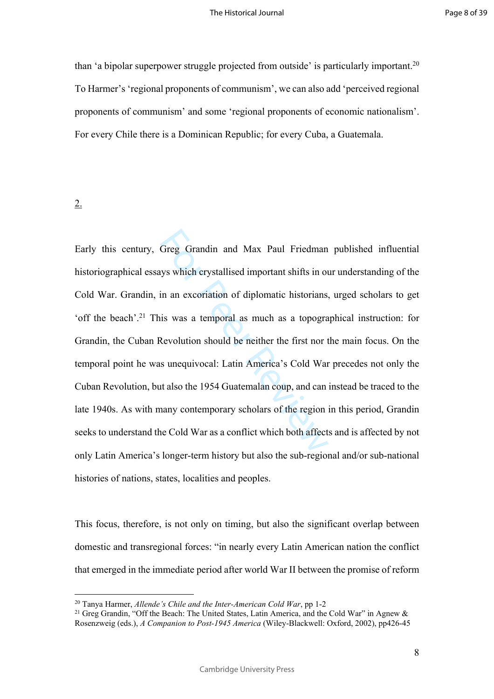than 'a bipolar superpower struggle projected from outside' is particularly important.<sup>20</sup> To Harmer's 'regional proponents of communism', we can also add 'perceived regional proponents of communism' and some 'regional proponents of economic nationalism'. For every Chile there is a Dominican Republic; for every Cuba, a Guatemala.

2.

Greg Grandin and Max Paul Friedman<br>ys which crystallised important shifts in ou<br>in an excoriation of diplomatic historians,<br>is was a temporal as much as a topogra<br>Revolution should be neither the first nor t<br>s unequivocal: Early this century, Greg Grandin and Max Paul Friedman published influential historiographical essays which crystallised important shifts in our understanding of the Cold War. Grandin, in an excoriation of diplomatic historians, urged scholars to get 'off the beach'.<sup>21</sup> This was a temporal as much as a topographical instruction: for Grandin, the Cuban Revolution should be neither the first nor the main focus. On the temporal point he was unequivocal: Latin America's Cold War precedes not only the Cuban Revolution, but also the 1954 Guatemalan coup, and can instead be traced to the late 1940s. As with many contemporary scholars of the region in this period, Grandin seeks to understand the Cold War as a conflict which both affects and is affected by not only Latin America's longer-term history but also the sub-regional and/or sub-national histories of nations, states, localities and peoples.

This focus, therefore, is not only on timing, but also the significant overlap between domestic and transregional forces: "in nearly every Latin American nation the conflict that emerged in the immediate period after world War II between the promise of reform

<sup>20</sup> Tanya Harmer, *Allende's Chile and the Inter-American Cold War*, pp 1-2

<sup>&</sup>lt;sup>21</sup> Greg Grandin, "Off the Beach: The United States, Latin America, and the Cold War" in Agnew  $\&$ Rosenzweig (eds.), *A Companion to Post-1945 America* (Wiley-Blackwell: Oxford, 2002), pp426-45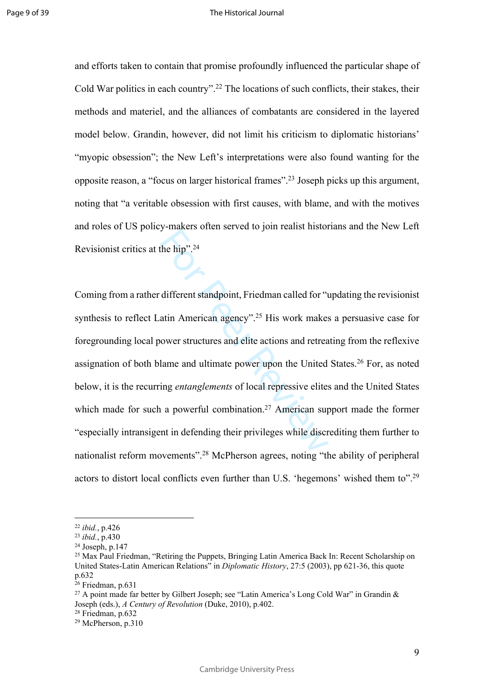and efforts taken to contain that promise profoundly influenced the particular shape of Cold War politics in each country".<sup>22</sup> The locations of such conflicts, their stakes, their methods and materiel, and the alliances of combatants are considered in the layered model below. Grandin, however, did not limit his criticism to diplomatic historians' "myopic obsession"; the New Left's interpretations were also found wanting for the opposite reason, a "focus on larger historical frames".<sup>23</sup> Joseph picks up this argument, noting that "a veritable obsession with first causes, with blame, and with the motives and roles of US policy-makers often served to join realist historians and the New Left Revisionist critics at the hip".<sup>24</sup>

of the hip".<sup>24</sup><br>different standpoint, Friedman called for "the hip".<sup>24</sup><br>different standpoint, Friedman called for "the attin American agency".<sup>25</sup> His work makes<br>ower structures and elite actions and retread<br>lame and ul Coming from a rather different standpoint, Friedman called for "updating the revisionist synthesis to reflect Latin American agency".<sup>25</sup> His work makes a persuasive case for foregrounding local power structures and elite actions and retreating from the reflexive assignation of both blame and ultimate power upon the United States.<sup>26</sup> For, as noted below, it is the recurring *entanglements* of local repressive elites and the United States which made for such a powerful combination.<sup>27</sup> American support made the former "especially intransigent in defending their privileges while discrediting them further to nationalist reform movements".<sup>28</sup> McPherson agrees, noting "the ability of peripheral actors to distort local conflicts even further than U.S. 'hegemons' wished them to".<sup>29</sup>

<sup>22</sup> *ibid.*, p.426

<sup>23</sup> *ibid.*, p.430

<sup>24</sup> Joseph, p.147

<sup>25</sup> Max Paul Friedman, "Retiring the Puppets, Bringing Latin America Back In: Recent Scholarship on United States-Latin American Relations" in *Diplomatic History*, 27:5 (2003), pp 621-36, this quote p.632

 $26$  Friedman, p.631

<sup>&</sup>lt;sup>27</sup> A point made far better by Gilbert Joseph; see "Latin America's Long Cold War" in Grandin & Joseph (eds.), *A Century of Revolution* (Duke, 2010), p.402.

<sup>28</sup> Friedman, p.632

 $29$  McPherson, p.310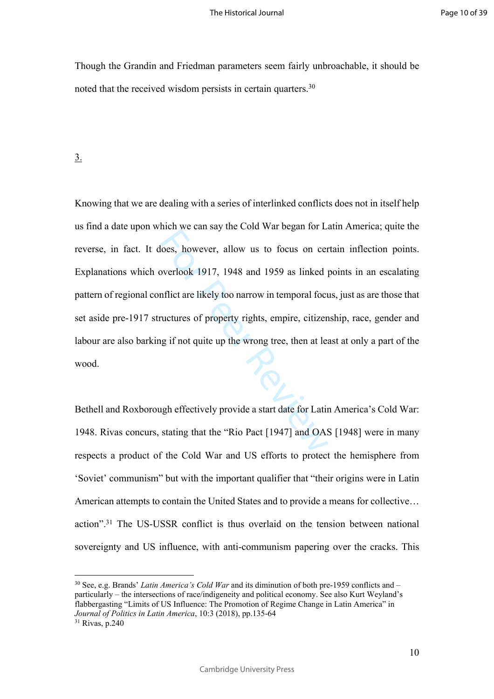Though the Grandin and Friedman parameters seem fairly unbroachable, it should be noted that the received wisdom persists in certain quarters.<sup>30</sup>

# 3.

head we can say the cora wan eigen for a<br>loes, however, allow us to focus on cer<br>overlook 1917, 1948 and 1959 as linked p<br>inflict are likely too narrow in temporal focu<br>vactures of property rights, empire, citizen<br>ing if n Knowing that we are dealing with a series of interlinked conflicts does not in itself help us find a date upon which we can say the Cold War began for Latin America; quite the reverse, in fact. It does, however, allow us to focus on certain inflection points. Explanations which overlook 1917, 1948 and 1959 as linked points in an escalating pattern of regional conflict are likely too narrow in temporal focus, just as are those that set aside pre-1917 structures of property rights, empire, citizenship, race, gender and labour are also barking if not quite up the wrong tree, then at least at only a part of the wood.

Bethell and Roxborough effectively provide a start date for Latin America's Cold War: 1948. Rivas concurs, stating that the "Rio Pact [1947] and OAS [1948] were in many respects a product of the Cold War and US efforts to protect the hemisphere from 'Soviet' communism" but with the important qualifier that "their origins were in Latin American attempts to contain the United States and to provide a means for collective… action".<sup>31</sup> The US-USSR conflict is thus overlaid on the tension between national sovereignty and US influence, with anti-communism papering over the cracks. This

<sup>30</sup> See, e.g. Brands' *Latin America's Cold War* and its diminution of both pre-1959 conflicts and – particularly – the intersections of race/indigeneity and political economy. See also Kurt Weyland's flabbergasting "Limits of US Influence: The Promotion of Regime Change in Latin America" in *Journal of Politics in Latin America*, 10:3 (2018), pp.135-64 <sup>31</sup> Rivas, p.240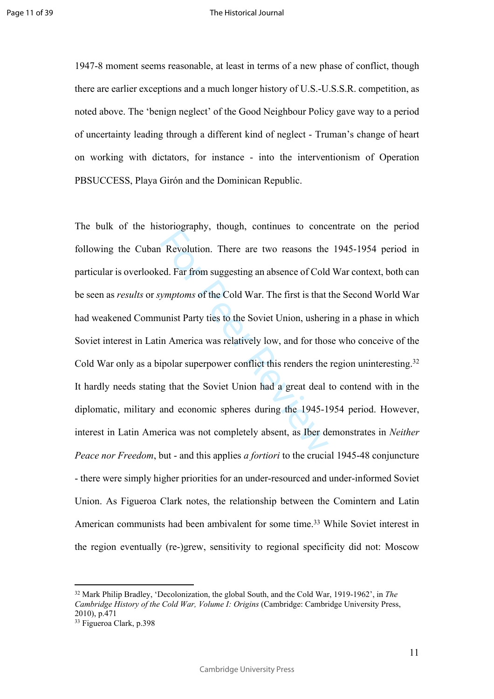1947-8 moment seems reasonable, at least in terms of a new phase of conflict, though there are earlier exceptions and a much longer history of U.S.-U.S.S.R. competition, as noted above. The 'benign neglect' of the Good Neighbour Policy gave way to a period of uncertainty leading through a different kind of neglect - Truman's change of heart on working with dictators, for instance - into the interventionism of Operation PBSUCCESS, Playa Girón and the Dominican Republic.

Revolution. There are two reasons the<br>ed. Far from suggesting an absence of Cold<br>*ymptoms* of the Cold War. The first is that<br>unist Party ties to the Soviet Union, usheri<br>in America was relatively low, and for those<br>ipolar The bulk of the historiography, though, continues to concentrate on the period following the Cuban Revolution. There are two reasons the 1945-1954 period in particular is overlooked. Far from suggesting an absence of Cold War context, both can be seen as *results* or *symptoms* of the Cold War. The first is that the Second World War had weakened Communist Party ties to the Soviet Union, ushering in a phase in which Soviet interest in Latin America was relatively low, and for those who conceive of the Cold War only as a bipolar superpower conflict this renders the region uninteresting.<sup>32</sup> It hardly needs stating that the Soviet Union had a great deal to contend with in the diplomatic, military and economic spheres during the 1945-1954 period. However, interest in Latin America was not completely absent, as Iber demonstrates in *Neither Peace nor Freedom*, but - and this applies *a fortiori* to the crucial 1945-48 conjuncture - there were simply higher priorities for an under-resourced and under-informed Soviet Union. As Figueroa Clark notes, the relationship between the Comintern and Latin American communists had been ambivalent for some time.<sup>33</sup> While Soviet interest in the region eventually (re-)grew, sensitivity to regional specificity did not: Moscow

11

<sup>32</sup> Mark Philip Bradley, 'Decolonization, the global South, and the Cold War, 1919-1962', in *The Cambridge History of the Cold War, Volume I: Origins* (Cambridge: Cambridge University Press, 2010), p.471

<sup>33</sup> Figueroa Clark, p.398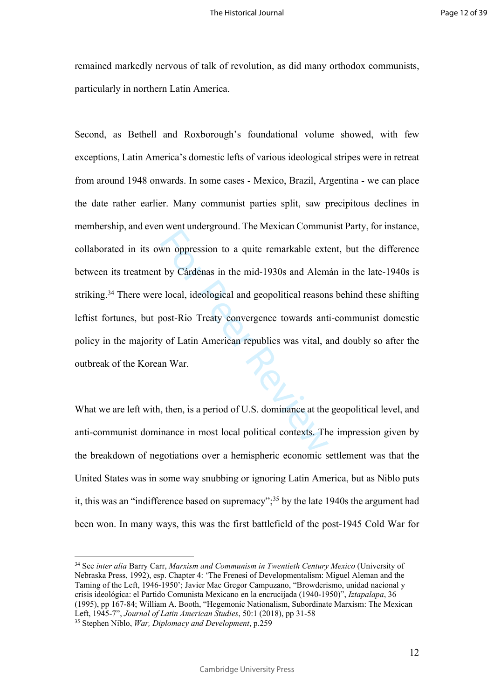remained markedly nervous of talk of revolution, as did many orthodox communists, particularly in northern Latin America.

who oppression to a quite remarkable external variance contains<br>the performance of the mid-1930s and Alem<br>e local, ideological and geopolitical reason<br>post-Rio Treaty convergence towards ant<br>y of Latin American republics w Second, as Bethell and Roxborough's foundational volume showed, with few exceptions, Latin America's domestic lefts of various ideological stripes were in retreat from around 1948 onwards. In some cases - Mexico, Brazil, Argentina - we can place the date rather earlier. Many communist parties split, saw precipitous declines in membership, and even went underground. The Mexican Communist Party, for instance, collaborated in its own oppression to a quite remarkable extent, but the difference between its treatment by Cárdenas in the mid-1930s and Alemán in the late-1940s is striking.<sup>34</sup> There were local, ideological and geopolitical reasons behind these shifting leftist fortunes, but post-Rio Treaty convergence towards anti-communist domestic policy in the majority of Latin American republics was vital, and doubly so after the outbreak of the Korean War.

What we are left with, then, is a period of U.S. dominance at the geopolitical level, and anti-communist dominance in most local political contexts. The impression given by the breakdown of negotiations over a hemispheric economic settlement was that the United States was in some way snubbing or ignoring Latin America, but as Niblo puts it, this was an "indifference based on supremacy";<sup>35</sup> by the late 1940s the argument had been won. In many ways, this was the first battlefield of the post-1945 Cold War for

<sup>34</sup> See *inter alia* Barry Carr, *Marxism and Communism in Twentieth Century Mexico* (University of Nebraska Press, 1992), esp. Chapter 4: 'The Frenesi of Developmentalism: Miguel Aleman and the Taming of the Left, 1946-1950'; Javier Mac Gregor Campuzano, "Browderismo, unidad nacional y crisis ideológica: el Partido Comunista Mexicano en la encrucijada (1940-1950)", *Iztapalapa*, 36 (1995), pp 167-84; William A. Booth, "Hegemonic Nationalism, Subordinate Marxism: The Mexican Left, 1945-7", *Journal of Latin American Studies*, 50:1 (2018), pp 31-58

<sup>35</sup> Stephen Niblo, *War, Diplomacy and Development*, p.259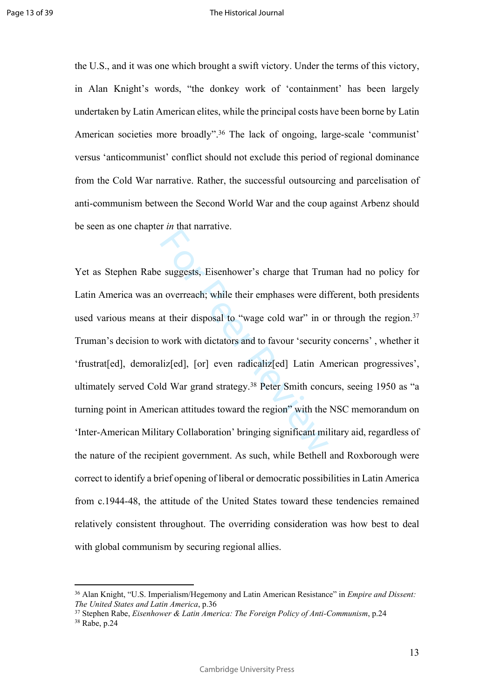the U.S., and it was one which brought a swift victory. Under the terms of this victory, in Alan Knight's words, "the donkey work of 'containment' has been largely undertaken by Latin American elites, while the principal costs have been borne by Latin American societies more broadly".<sup>36</sup> The lack of ongoing, large-scale 'communist' versus 'anticommunist' conflict should not exclude this period of regional dominance from the Cold War narrative. Rather, the successful outsourcing and parcelisation of anti-communism between the Second World War and the coup against Arbenz should be seen as one chapter *in* that narrative.

Example 18 and the matter of the matter of the methods of the methods of the methods of the methods of the methods of the methods in the methods in the methods in the methods of the methods of the methods of the methods o Yet as Stephen Rabe suggests, Eisenhower's charge that Truman had no policy for Latin America was an overreach; while their emphases were different, both presidents used various means at their disposal to "wage cold war" in or through the region.<sup>37</sup> Truman's decision to work with dictators and to favour 'security concerns' , whether it 'frustrat[ed], demoraliz[ed], [or] even radicaliz[ed] Latin American progressives', ultimately served Cold War grand strategy.<sup>38</sup> Peter Smith concurs, seeing 1950 as "a turning point in American attitudes toward the region" with the NSC memorandum on 'Inter-American Military Collaboration' bringing significant military aid, regardless of the nature of the recipient government. As such, while Bethell and Roxborough were correct to identify a brief opening of liberal or democratic possibilities in Latin America from c.1944-48, the attitude of the United States toward these tendencies remained relatively consistent throughout. The overriding consideration was how best to deal with global communism by securing regional allies.

13

<sup>36</sup> Alan Knight, "U.S. Imperialism/Hegemony and Latin American Resistance" in *Empire and Dissent: The United States and Latin America*, p.36

<sup>37</sup> Stephen Rabe, *Eisenhower & Latin America: The Foreign Policy of Anti-Communism*, p.24 <sup>38</sup> Rabe, p.24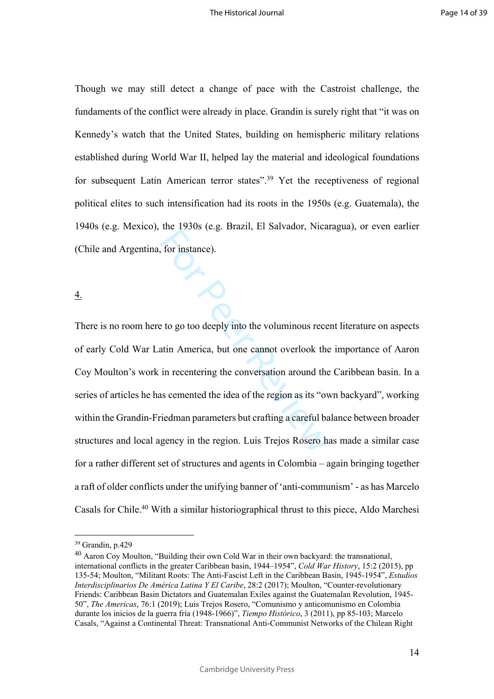Though we may still detect a change of pace with the Castroist challenge, the fundaments of the conflict were already in place. Grandin is surely right that "it was on Kennedy's watch that the United States, building on hemispheric military relations established during World War II, helped lay the material and ideological foundations for subsequent Latin American terror states".<sup>39</sup> Yet the receptiveness of regional political elites to such intensification had its roots in the 1950s (e.g. Guatemala), the 1940s (e.g. Mexico), the 1930s (e.g. Brazil, El Salvador, Nicaragua), or even earlier (Chile and Argentina, for instance).

4.

The Expose (e.g. Extern, E.F. Barvator, Theath<br>for instance).<br>For instance is to go too deeply into the voluminous recentin<br>atin America, but one cannot overlook the<br>in recentering the conversation around the<br>sixe cemented There is no room here to go too deeply into the voluminous recent literature on aspects of early Cold War Latin America, but one cannot overlook the importance of Aaron Coy Moulton's work in recentering the conversation around the Caribbean basin. In a series of articles he has cemented the idea of the region as its "own backyard", working within the Grandin-Friedman parameters but crafting a careful balance between broader structures and local agency in the region. Luis Trejos Rosero has made a similar case for a rather different set of structures and agents in Colombia – again bringing together a raft of older conflicts under the unifying banner of 'anti-communism' - as has Marcelo Casals for Chile.<sup>40</sup> With a similar historiographical thrust to this piece, Aldo Marchesi

<sup>39</sup> Grandin, p.429

<sup>40</sup> Aaron Coy Moulton, "Building their own Cold War in their own backyard: the transnational, international conflicts in the greater Caribbean basin, 1944–1954", *Cold War History*, 15:2 (2015), pp 135-54; Moulton, "Militant Roots: The Anti-Fascist Left in the Caribbean Basin, 1945-1954", *Estudios Interdisciplinarios De América Latina Y El Caribe*, 28:2 (2017); Moulton, "Counter-revolutionary Friends: Caribbean Basin Dictators and Guatemalan Exiles against the Guatemalan Revolution, 1945- 50", *The Americas*, 76:1 (2019); Luis Trejos Rosero, "Comunismo y anticomunismo en Colombia durante los inicios de la guerra fría (1948-1966)", *Tiempo Histórico* , 3 (2011), pp 85-103; Marcelo Casals, "Against a Continental Threat: Transnational Anti-Communist Networks of the Chilean Right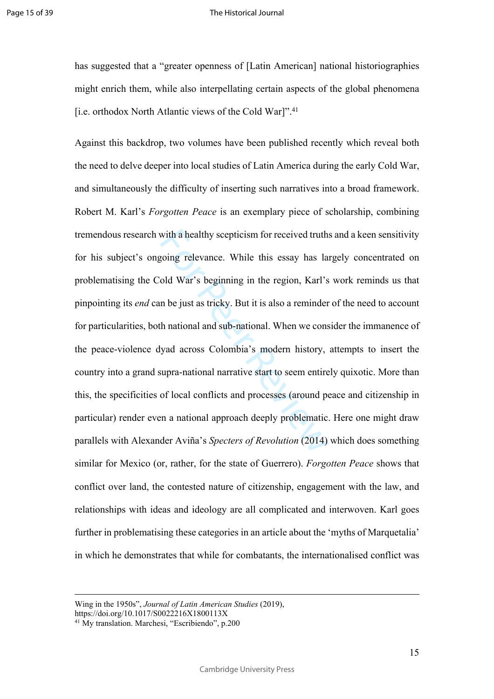has suggested that a "greater openness of [Latin American] national historiographies might enrich them, while also interpellating certain aspects of the global phenomena [i.e. orthodox North Atlantic views of the Cold War]".<sup>41</sup>

with a healthy scepticism for received truth<br>going relevance. While this essay has la<br>old War's beginning in the region, Karl's<br>n be just as tricky. But it is also a reminder<br>th national and sub-national. When we cons<br>yad Against this backdrop, two volumes have been published recently which reveal both the need to delve deeper into local studies of Latin America during the early Cold War, and simultaneously the difficulty of inserting such narratives into a broad framework. Robert M. Karl's *Forgotten Peace* is an exemplary piece of scholarship, combining tremendous research with a healthy scepticism for received truths and a keen sensitivity for his subject's ongoing relevance. While this essay has largely concentrated on problematising the Cold War's beginning in the region, Karl's work reminds us that pinpointing its *end* can be just as tricky. But it is also a reminder of the need to account for particularities, both national and sub-national. When we consider the immanence of the peace-violence dyad across Colombia's modern history, attempts to insert the country into a grand supra-national narrative start to seem entirely quixotic. More than this, the specificities of local conflicts and processes (around peace and citizenship in particular) render even a national approach deeply problematic. Here one might draw parallels with Alexander Aviña's *Specters of Revolution* (2014) which does something similar for Mexico (or, rather, for the state of Guerrero). *Forgotten Peace* shows that conflict over land, the contested nature of citizenship, engagement with the law, and relationships with ideas and ideology are all complicated and interwoven. Karl goes further in problematising these categories in an article about the 'myths of Marquetalia' in which he demonstrates that while for combatants, the internationalised conflict was

15

Wing in the 1950s", *Journal of Latin American Studies* (2019),

https://doi.org/10.1017/S0022216X1800113X

<sup>41</sup> My translation. Marchesi, "Escribiendo", p.200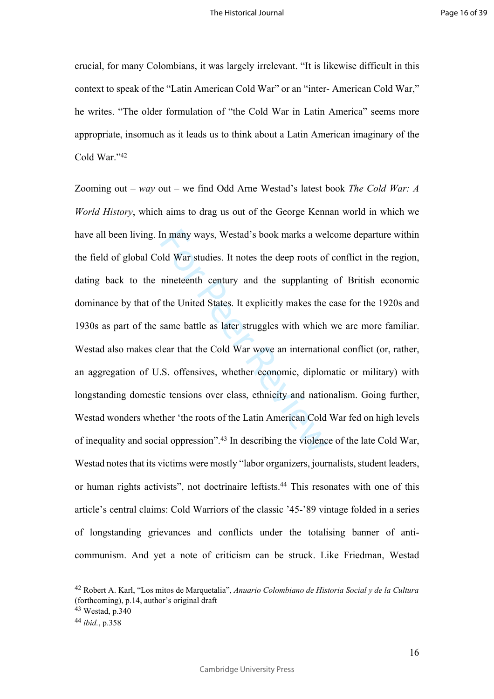crucial, for many Colombians, it was largely irrelevant. "It is likewise difficult in this context to speak of the "Latin American Cold War" or an "inter- American Cold War," he writes. "The older formulation of "the Cold War in Latin America" seems more appropriate, insomuch as it leads us to think about a Latin American imaginary of the Cold War."<sup>42</sup>

In many ways, Westad's book marks a welcome that the deep roots of nineteenth century and the supplanting the United States. It explicitly makes the same battle as later struggles with which lear that the Cold War wove an Zooming out – *way* out – we find Odd Arne Westad's latest book *The Cold War: A World History*, which aims to drag us out of the George Kennan world in which we have all been living. In many ways, Westad's book marks a welcome departure within the field of global Cold War studies. It notes the deep roots of conflict in the region, dating back to the nineteenth century and the supplanting of British economic dominance by that of the United States. It explicitly makes the case for the 1920s and 1930s as part of the same battle as later struggles with which we are more familiar. Westad also makes clear that the Cold War wove an international conflict (or, rather, an aggregation of U.S. offensives, whether economic, diplomatic or military) with longstanding domestic tensions over class, ethnicity and nationalism. Going further, Westad wonders whether 'the roots of the Latin American Cold War fed on high levels of inequality and social oppression".<sup>43</sup> In describing the violence of the late Cold War, Westad notes that its victims were mostly "labor organizers, journalists, student leaders, or human rights activists", not doctrinaire leftists.<sup>44</sup> This resonates with one of this article's central claims: Cold Warriors of the classic '45-'89 vintage folded in a series of longstanding grievances and conflicts under the totalising banner of anticommunism. And yet a note of criticism can be struck. Like Friedman, Westad

<sup>42</sup> Robert A. Karl, "Los mitos de Marquetalia", *Anuario Colombiano de Historia Social y de la Cultura*  (forthcoming), p.14, author's original draft

<sup>43</sup> Westad, p.340

<sup>44</sup> *ibid.*, p.358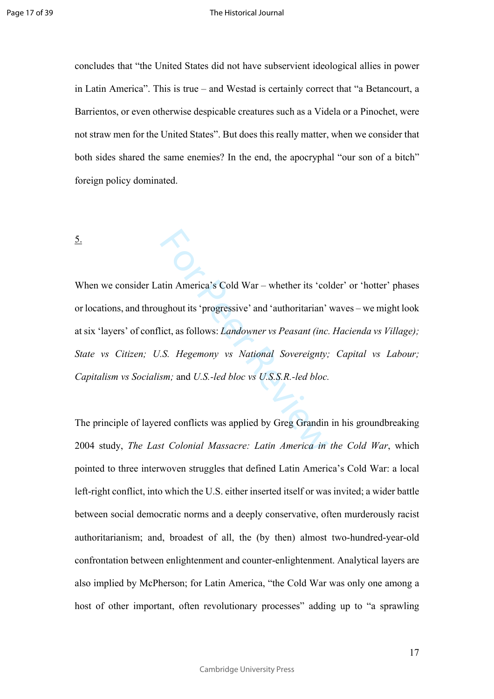concludes that "the United States did not have subservient ideological allies in power in Latin America". This is true – and Westad is certainly correct that "a Betancourt, a Barrientos, or even otherwise despicable creatures such as a Videla or a Pinochet, were not straw men for the United States". But does this really matter, when we consider that both sides shared the same enemies? In the end, the apocryphal "our son of a bitch" foreign policy dominated.

5.

Attin America's Cold War – whether its 'cold<br>
ughout its 'progressive' and 'authoritarian'<br>
ict, as follows: *Landowner vs Peasant (inc.*<br>
S. Hegemony *vs National Sovereignty;*<br>
sm; and U.S.-led bloc *vs U.S.S.R.-led bloc* When we consider Latin America's Cold War – whether its 'colder' or 'hotter' phases or locations, and throughout its 'progressive' and 'authoritarian' waves – we might look at six 'layers' of conflict, as follows: *Landowner vs Peasant (inc. Hacienda vs Village); State vs Citizen; U.S. Hegemony vs National Sovereignty; Capital vs Labour; Capitalism vs Socialism;* and *U.S.-led bloc vs U.S.S.R.-led bloc.*

The principle of layered conflicts was applied by Greg Grandin in his groundbreaking 2004 study, *The Last Colonial Massacre: Latin America in the Cold War*, which pointed to three interwoven struggles that defined Latin America's Cold War: a local left-right conflict, into which the U.S. either inserted itself or was invited; a wider battle between social democratic norms and a deeply conservative, often murderously racist authoritarianism; and, broadest of all, the (by then) almost two-hundred-year-old confrontation between enlightenment and counter-enlightenment. Analytical layers are also implied by McPherson; for Latin America, "the Cold War was only one among a host of other important, often revolutionary processes" adding up to "a sprawling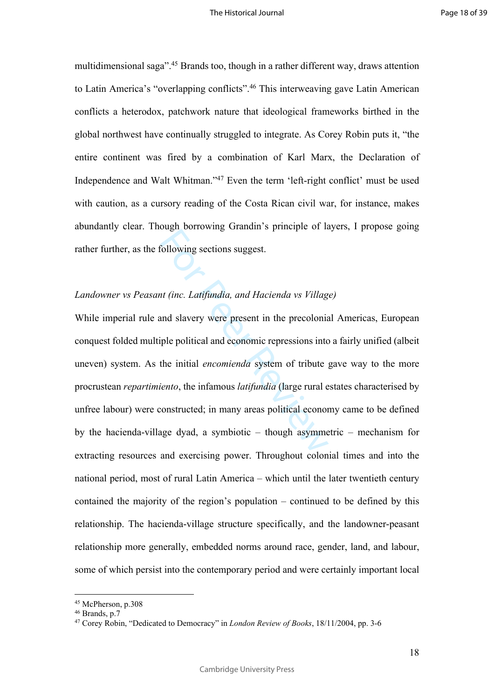multidimensional saga".<sup>45</sup> Brands too, though in a rather different way, draws attention to Latin America's "overlapping conflicts".<sup>46</sup> This interweaving gave Latin American conflicts a heterodox, patchwork nature that ideological frameworks birthed in the global northwest have continually struggled to integrate. As Corey Robin puts it, "the entire continent was fired by a combination of Karl Marx, the Declaration of Independence and Walt Whitman."<sup>47</sup> Even the term 'left-right conflict' must be used with caution, as a cursory reading of the Costa Rican civil war, for instance, makes abundantly clear. Though borrowing Grandin's principle of layers, I propose going rather further, as the following sections suggest.

# *Landowner vs Peasant (inc. Latifundia, and Hacienda vs Village)*

Following sections suggest.<br>
Sollowing sections suggest.<br>
At *(inc. Latifundia, and Hacienda vs Villag*<br>
and slavery were present in the precolonia<br>
ple political and economic repressions into<br>
the initial *encomienda* sys While imperial rule and slavery were present in the precolonial Americas, European conquest folded multiple political and economic repressions into a fairly unified (albeit uneven) system. As the initial *encomienda* system of tribute gave way to the more procrustean *repartimiento*, the infamous *latifundia* (large rural estates characterised by unfree labour) were constructed; in many areas political economy came to be defined by the hacienda-village dyad, a symbiotic – though asymmetric – mechanism for extracting resources and exercising power. Throughout colonial times and into the national period, most of rural Latin America – which until the later twentieth century contained the majority of the region's population – continued to be defined by this relationship. The hacienda-village structure specifically, and the landowner-peasant relationship more generally, embedded norms around race, gender, land, and labour, some of which persist into the contemporary period and were certainly important local

<sup>45</sup> McPherson, p.308

<sup>46</sup> Brands, p.7

<sup>47</sup> Corey Robin, "Dedicated to Democracy" in *London Review of Books*, 18/11/2004, pp. 3-6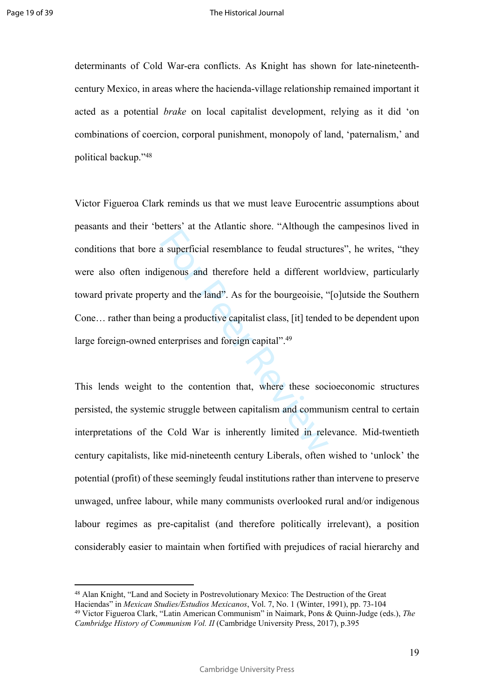determinants of Cold War-era conflicts. As Knight has shown for late-nineteenthcentury Mexico, in areas where the hacienda-village relationship remained important it acted as a potential *brake* on local capitalist development, relying as it did 'on combinations of coercion, corporal punishment, monopoly of land, 'paternalism,' and political backup."<sup>48</sup>

as uperficial resemblance to feudal structure<br>genous and therefore held a different welt<br>genous and therefore held a different welt<br>genous and the land". As for the bourgeoisie, "<br>eing a productive capitalist class, [it] t Victor Figueroa Clark reminds us that we must leave Eurocentric assumptions about peasants and their 'betters' at the Atlantic shore. "Although the campesinos lived in conditions that bore a superficial resemblance to feudal structures", he writes, "they were also often indigenous and therefore held a different worldview, particularly toward private property and the land". As for the bourgeoisie, "[o]utside the Southern Cone… rather than being a productive capitalist class, [it] tended to be dependent upon large foreign-owned enterprises and foreign capital".<sup>49</sup>

This lends weight to the contention that, where these socioeconomic structures persisted, the systemic struggle between capitalism and communism central to certain interpretations of the Cold War is inherently limited in relevance. Mid-twentieth century capitalists, like mid-nineteenth century Liberals, often wished to 'unlock' the potential (profit) of these seemingly feudal institutions rather than intervene to preserve unwaged, unfree labour, while many communists overlooked rural and/or indigenous labour regimes as pre-capitalist (and therefore politically irrelevant), a position considerably easier to maintain when fortified with prejudices of racial hierarchy and

<sup>48</sup> Alan Knight, "Land and Society in Postrevolutionary Mexico: The Destruction of the Great Haciendas" in *Mexican Studies/Estudios Mexicanos*, Vol. 7, No. 1 (Winter, 1991), pp. 73-104

<sup>49</sup> Victor Figueroa Clark, "Latin American Communism" in Naimark, Pons & Quinn-Judge (eds.), *The Cambridge History of Communism Vol. II* (Cambridge University Press, 2017), p.395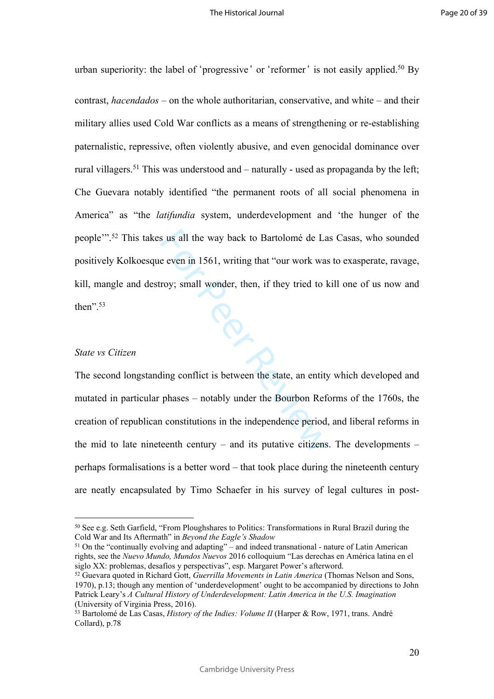urban superiority: the label of 'progressive' or 'reformer' is not easily applied.<sup>50</sup> By

contrast, *hacendados –* on the whole authoritarian, conservative, and white – and their military allies used Cold War conflicts as a means of strengthening or re-establishing paternalistic, repressive, often violently abusive, and even genocidal dominance over rural villagers.<sup>51</sup> This was understood and – naturally - used as propaganda by the left; Che Guevara notably identified "the permanent roots of all social phenomena in America" as "the *latifundia* system, underdevelopment and 'the hunger of the people'".<sup>52</sup> This takes us all the way back to Bartolomé de Las Casas, who sounded positively Kolkoesque even in 1561, writing that "our work was to exasperate, ravage, kill, mangle and destroy; small wonder, then, if they tried to kill one of us now and then". $53$ 

## *State vs Citizen*

s us all the way back to Bartolomé de La<br>
e even in 1561, writing that "our work was<br>
roy; small wonder, then, if they tried to k<br>
flug conflict is between the state, an entity<br>
phases – notably under the Bourbon Refort<br>
i The second longstanding conflict is between the state, an entity which developed and mutated in particular phases – notably under the Bourbon Reforms of the 1760s, the creation of republican constitutions in the independence period, and liberal reforms in the mid to late nineteenth century – and its putative citizens. The developments – perhaps formalisations is a better word – that took place during the nineteenth century are neatly encapsulated by Timo Schaefer in his survey of legal cultures in post-

<sup>51</sup> On the "continually evolving and adapting" – and indeed transnational - nature of Latin American rights, see the *Nuevo Mundo, Mundos Nuevos* 2016 colloquium "Las derechas en América latina en el siglo XX: problemas, desafíos y perspectivas", esp. Margaret Power's afterword.

<sup>50</sup> See e.g. Seth Garfield, "From Ploughshares to Politics: Transformations in Rural Brazil during the Cold War and Its Aftermath" in *Beyond the Eagle's Shadow*

<sup>52</sup> Guevara quoted in Richard Gott, *Guerrilla Movements in Latin America* (Thomas Nelson and Sons, 1970), p.13; though any mention of 'underdevelopment' ought to be accompanied by directions to John Patrick Leary's *A Cultural History of Underdevelopment: Latin America in the U.S. Imagination* (University of Virginia Press, 2016).

<sup>53</sup> Bartolomé de Las Casas, *History of the Indies: Volume II* (Harper & Row, 1971, trans. André Collard), p.78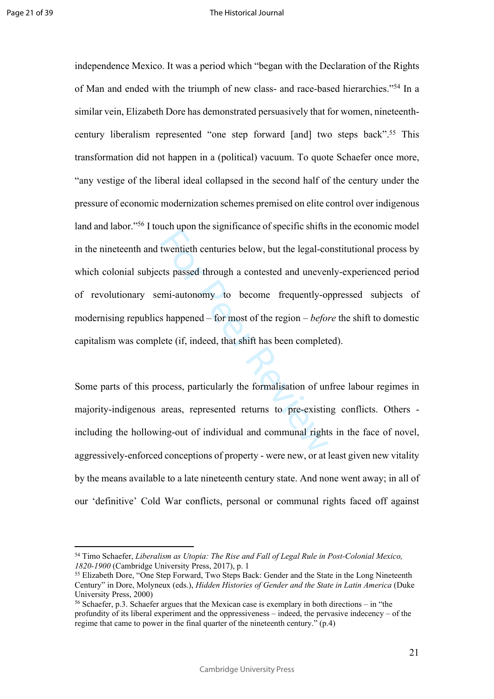twentieth centuries below, but the legal-co<br>ts passed through a contested and unever<br>emi-autonomy to become frequently-op<br>s happened – for most of the region – *befor*<br>ete (if, indeed, that shift has been complete<br>ocess, p independence Mexico. It was a period which "began with the Declaration of the Rights of Man and ended with the triumph of new class- and race-based hierarchies."<sup>54</sup> In a similar vein, Elizabeth Dore has demonstrated persuasively that for women, nineteenthcentury liberalism represented "one step forward [and] two steps back".<sup>55</sup> This transformation did not happen in a (political) vacuum. To quote Schaefer once more, "any vestige of the liberal ideal collapsed in the second half of the century under the pressure of economic modernization schemes premised on elite control over indigenous land and labor."<sup>56</sup> I touch upon the significance of specific shifts in the economic model in the nineteenth and twentieth centuries below, but the legal-constitutional process by which colonial subjects passed through a contested and unevenly-experienced period of revolutionary semi-autonomy to become frequently-oppressed subjects of modernising republics happened – for most of the region – *before* the shift to domestic capitalism was complete (if, indeed, that shift has been completed).

Some parts of this process, particularly the formalisation of unfree labour regimes in majority-indigenous areas, represented returns to pre-existing conflicts. Others including the hollowing-out of individual and communal rights in the face of novel, aggressively-enforced conceptions of property - were new, or at least given new vitality by the means available to a late nineteenth century state. And none went away; in all of our 'definitive' Cold War conflicts, personal or communal rights faced off against

<sup>54</sup> Timo Schaefer, *Liberalism as Utopia: The Rise and Fall of Legal Rule in Post-Colonial Mexico, 1820-1900* (Cambridge University Press, 2017), p. 1

<sup>55</sup> Elizabeth Dore, "One Step Forward, Two Steps Back: Gender and the State in the Long Nineteenth Century" in Dore, Molyneux (eds.), *Hidden Histories of Gender and the State in Latin America* (Duke University Press, 2000)

<sup>56</sup> Schaefer, p.3. Schaefer argues that the Mexican case is exemplary in both directions – in "the profundity of its liberal experiment and the oppressiveness – indeed, the pervasive indecency – of the regime that came to power in the final quarter of the nineteenth century." (p.4)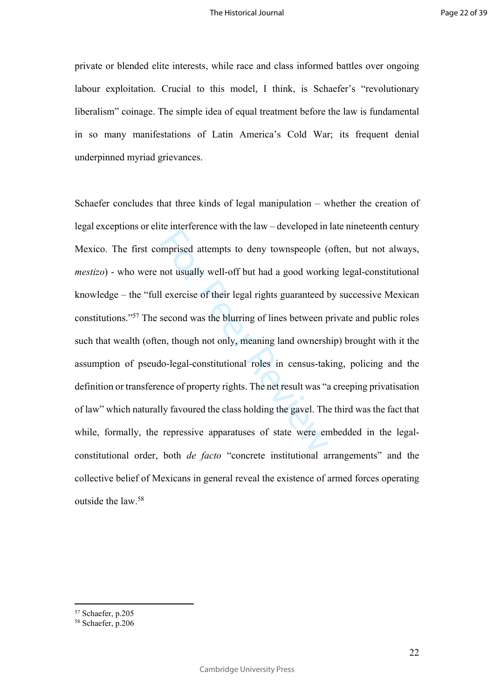private or blended elite interests, while race and class informed battles over ongoing labour exploitation. Crucial to this model, I think, is Schaefer's "revolutionary liberalism" coinage. The simple idea of equal treatment before the law is fundamental in so many manifestations of Latin America's Cold War; its frequent denial underpinned myriad grievances.

mprised attempts to deny townspeople (<br>mot usually well-off but had a good worki<br>l exercise of their legal rights guaranteed b<br>second was the blurring of lines between p<br>en, though not only, meaning land ownersh<br>lo-legal-c Schaefer concludes that three kinds of legal manipulation – whether the creation of legal exceptions or elite interference with the law – developed in late nineteenth century Mexico. The first comprised attempts to deny townspeople (often, but not always, *mestizo*) - who were not usually well-off but had a good working legal-constitutional knowledge – the "full exercise of their legal rights guaranteed by successive Mexican constitutions."<sup>57</sup> The second was the blurring of lines between private and public roles such that wealth (often, though not only, meaning land ownership) brought with it the assumption of pseudo-legal-constitutional roles in census-taking, policing and the definition or transference of property rights. The net result was "a creeping privatisation of law" which naturally favoured the class holding the gavel. The third was the fact that while, formally, the repressive apparatuses of state were embedded in the legalconstitutional order, both *de facto* "concrete institutional arrangements" and the collective belief of Mexicans in general reveal the existence of armed forces operating outside the law <sup>58</sup>

<sup>57</sup> Schaefer, p.205

<sup>58</sup> Schaefer, p.206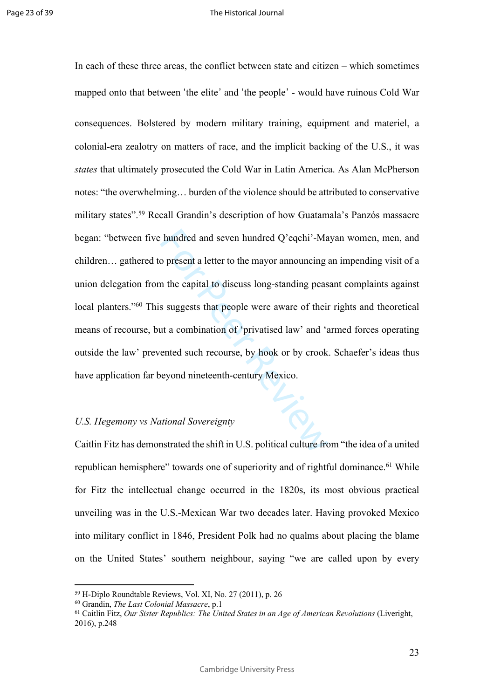hundred and seven hundred Q'eqchi'-Ma<br>
o present a letter to the mayor announcing a<br>
in the capital to discuss long-standing peas<br>
s suggests that people were aware of their<br>
ut a combination of 'privatised law' and 'a<br>
en In each of these three areas, the conflict between state and citizen – which sometimes mapped onto that between 'the elite ' and 'the people ' - would have ruinous Cold War consequences. Bolstered by modern military training, equipment and materiel, a colonial-era zealotry on matters of race, and the implicit backing of the U.S., it was *states* that ultimately prosecuted the Cold War in Latin America. As Alan McPherson notes: "the overwhelming… burden of the violence should be attributed to conservative military states".<sup>59</sup> Recall Grandin's description of how Guatamala's Panzós massacre began: "between five hundred and seven hundred Q'eqchi'-Mayan women, men, and children… gathered to present a letter to the mayor announcing an impending visit of a union delegation from the capital to discuss long-standing peasant complaints against local planters."<sup>60</sup> This suggests that people were aware of their rights and theoretical means of recourse, but a combination of 'privatised law' and 'armed forces operating outside the law' prevented such recourse, by hook or by crook. Schaefer's ideas thus have application far beyond nineteenth-century Mexico.

## *U.S. Hegemony vs National Sovereignty*

Caitlin Fitz has demonstrated the shift in U.S. political culture from "the idea of a united republican hemisphere" towards one of superiority and of rightful dominance.<sup>61</sup> While for Fitz the intellectual change occurred in the 1820s, its most obvious practical unveiling was in the U.S.-Mexican War two decades later. Having provoked Mexico into military conflict in 1846, President Polk had no qualms about placing the blame on the United States' southern neighbour, saying "we are called upon by every

<sup>59</sup> H-Diplo Roundtable Reviews, Vol. XI, No. 27 (2011), p. 26

<sup>60</sup> Grandin, *The Last Colonial Massacre*, p.1

<sup>61</sup> Caitlin Fitz, *Our Sister Republics: The United States in an Age of American Revolutions* (Liveright, 2016), p.248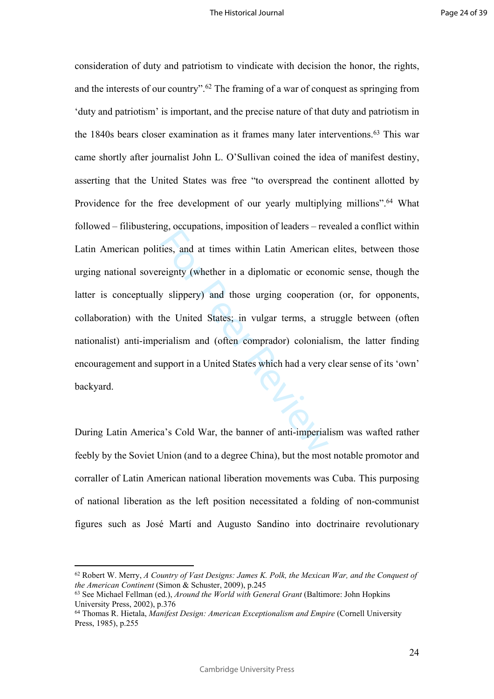Experience, imposition of feature and<br>reignty (whether in a diplomatic or econor<br>y slippery) and those urging cooperatio<br>the United States; in vulgar terms, a str<br>erialism and (often comprador) coloniali<br>upport in a United consideration of duty and patriotism to vindicate with decision the honor, the rights, and the interests of our country".<sup>62</sup> The framing of a war of conquest as springing from 'duty and patriotism' is important, and the precise nature of that duty and patriotism in the 1840s bears closer examination as it frames many later interventions.<sup>63</sup> This war came shortly after journalist John L. O'Sullivan coined the idea of manifest destiny, asserting that the United States was free "to overspread the continent allotted by Providence for the free development of our yearly multiplying millions".<sup>64</sup> What followed – filibustering, occupations, imposition of leaders – revealed a conflict within Latin American polities, and at times within Latin American elites, between those urging national sovereignty (whether in a diplomatic or economic sense, though the latter is conceptually slippery) and those urging cooperation (or, for opponents, collaboration) with the United States; in vulgar terms, a struggle between (often nationalist) anti-imperialism and (often comprador) colonialism, the latter finding encouragement and support in a United States which had a very clear sense of its 'own' backyard.

During Latin America's Cold War, the banner of anti-imperialism was wafted rather feebly by the Soviet Union (and to a degree China), but the most notable promotor and corraller of Latin American national liberation movements was Cuba. This purposing of national liberation as the left position necessitated a folding of non-communist figures such as José Martí and Augusto Sandino into doctrinaire revolutionary

<sup>62</sup> Robert W. Merry, *A Country of Vast Designs: James K. Polk, the Mexican War, and the Conquest of the American Continent* (Simon & Schuster, 2009), p.245

<sup>63</sup> See Michael Fellman (ed.), *Around the World with General Grant* (Baltimore: John Hopkins University Press, 2002), p.376

<sup>64</sup> Thomas R. Hietala, *Manifest Design: American Exceptionalism and Empire* (Cornell University Press, 1985), p.255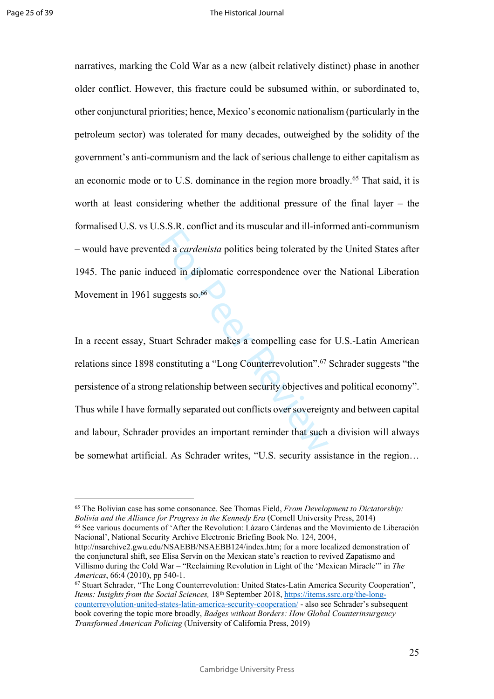narratives, marking the Cold War as a new (albeit relatively distinct) phase in another older conflict. However, this fracture could be subsumed within, or subordinated to, other conjunctural priorities; hence, Mexico's economic nationalism (particularly in the petroleum sector) was tolerated for many decades, outweighed by the solidity of the government's anti-communism and the lack of serious challenge to either capitalism as an economic mode or to U.S. dominance in the region more broadly.<sup>65</sup> That said, it is worth at least considering whether the additional pressure of the final layer – the formalised U.S. vs U.S.S.R. conflict and its muscular and ill-informed anti-communism – would have prevented a *cardenista* politics being tolerated by the United States after 1945. The panic induced in diplomatic correspondence over the National Liberation Movement in 1961 suggests so.<sup>66</sup>

Example and the mass and the material and the method of a cardenista politics being tolerated by<br>the proof of the displaced over the displaced solonomeric solution<br>and Schrader makes a compelling case for<br>onstituting a "Lo In a recent essay, Stuart Schrader makes a compelling case for U.S.-Latin American relations since 1898 constituting a "Long Counterrevolution".<sup>67</sup> Schrader suggests "the persistence of a strong relationship between security objectives and political economy". Thus while I have formally separated out conflicts over sovereignty and between capital and labour, Schrader provides an important reminder that such a division will always be somewhat artificial. As Schrader writes, "U.S. security assistance in the region…

<sup>65</sup> The Bolivian case has some consonance. See Thomas Field, *From Development to Dictatorship: Bolivia and the Alliance for Progress in the Kennedy Era* (Cornell University Press, 2014) <sup>66</sup> See various documents of 'After the Revolution: Lázaro Cárdenas and the Movimiento de Liberación

Nacional', National Security Archive Electronic Briefing Book No. 124, 2004, http://nsarchive2.gwu.edu/NSAEBB/NSAEBB124/index.htm; for a more localized demonstration of the conjunctural shift, see Elisa Servín on the Mexican state's reaction to revived Zapatismo and Villismo during the Cold War – "Reclaiming Revolution in Light of the 'Mexican Miracle'" in *The* 

*Americas*, 66:4 (2010), pp 540-1. <sup>67</sup> Stuart Schrader, "The Long Counterrevolution: United States-Latin America Security Cooperation", *Items: Insights from the Social Sciences,* 18th September 2018, https://items.ssrc.org/the-longcounterrevolution-united-states-latin-america-security-cooperation/ - also see Schrader's subsequent book covering the topic more broadly, *Badges without Borders: How Global Counterinsurgency Transformed American Policing* (University of California Press, 2019)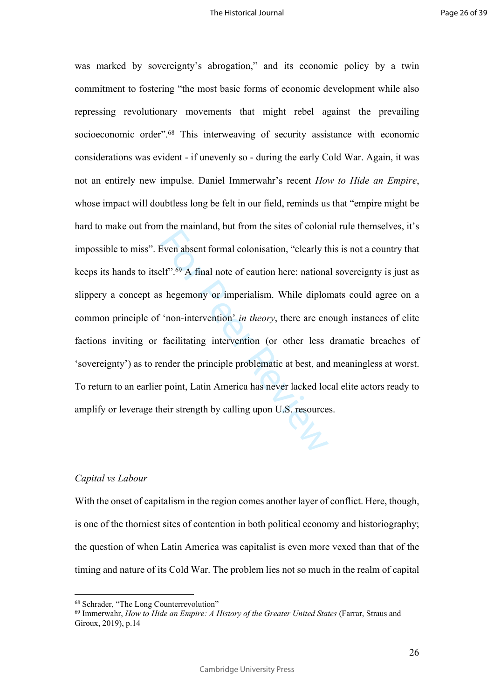Even absent formal colonisation, "clearly the H<sup>or</sup>.<sup>69</sup> A final note of caution here: national shegemony or imperialism. While diplor "non-intervention" *in theory*, there are end facilitating intervention (or other less was marked by sovereignty's abrogation," and its economic policy by a twin commitment to fostering "the most basic forms of economic development while also repressing revolutionary movements that might rebel against the prevailing socioeconomic order".<sup>68</sup> This interweaving of security assistance with economic considerations was evident - if unevenly so - during the early Cold War. Again, it was not an entirely new impulse. Daniel Immerwahr's recent *How to Hide an Empire*, whose impact will doubtless long be felt in our field, reminds us that "empire might be hard to make out from the mainland, but from the sites of colonial rule themselves, it's impossible to miss". Even absent formal colonisation, "clearly this is not a country that keeps its hands to itself".<sup>69</sup> A final note of caution here: national sovereignty is just as slippery a concept as hegemony or imperialism. While diplomats could agree on a common principle of 'non-intervention' *in theory*, there are enough instances of elite factions inviting or facilitating intervention (or other less dramatic breaches of 'sovereignty') as to render the principle problematic at best, and meaningless at worst. To return to an earlier point, Latin America has never lacked local elite actors ready to amplify or leverage their strength by calling upon U.S. resources.

### *Capital vs Labour*

With the onset of capitalism in the region comes another layer of conflict. Here, though, is one of the thorniest sites of contention in both political economy and historiography; the question of when Latin America was capitalist is even more vexed than that of the timing and nature of its Cold War. The problem lies not so much in the realm of capital

<sup>68</sup> Schrader, "The Long Counterrevolution"

<sup>69</sup> Immerwahr, *How to Hide an Empire: A History of the Greater United States* (Farrar, Straus and Giroux, 2019), p.14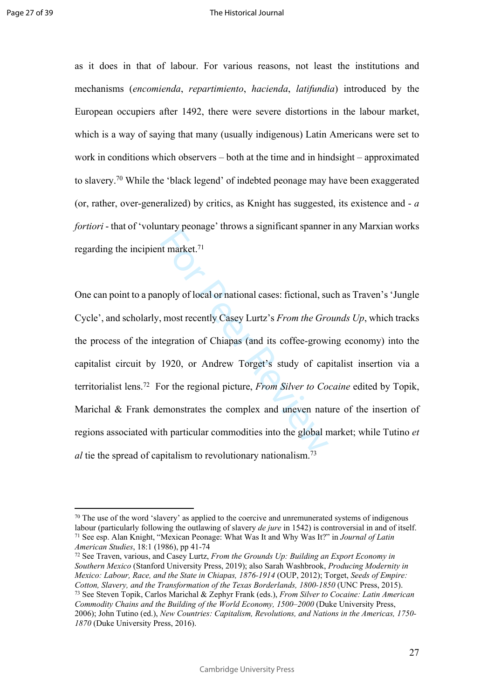as it does in that of labour. For various reasons, not least the institutions and mechanisms (*encomienda*, *repartimiento*, *hacienda*, *latifundia*) introduced by the European occupiers after 1492, there were severe distortions in the labour market, which is a way of saying that many (usually indigenous) Latin Americans were set to work in conditions which observers – both at the time and in hindsight – approximated to slavery.<sup>70</sup> While the 'black legend' of indebted peonage may have been exaggerated (or, rather, over-generalized) by critics, as Knight has suggested, its existence and - *a fortiori* - that of 'voluntary peonage' throws a significant spanner in any Marxian works regarding the incipient market.<sup>71</sup>

Internal product a significant optimal<br>term and the set of the Gradient Analytical Spanish<br>term and the Gradient Chapas (and its coffee-grow<br>tegration of Chiapas (and its coffee-grow<br>1920, or Andrew Torget's study of cap-<br> One can point to a panoply of local or national cases: fictional, such as Traven's 'Jungle Cycle', and scholarly, most recently Casey Lurtz's *From the Grounds Up*, which tracks the process of the integration of Chiapas (and its coffee-growing economy) into the capitalist circuit by 1920, or Andrew Torget's study of capitalist insertion via a territorialist lens.<sup>72</sup> For the regional picture, *From Silver to Cocaine* edited by Topik, Marichal & Frank demonstrates the complex and uneven nature of the insertion of regions associated with particular commodities into the global market; while Tutino *et al* tie the spread of capitalism to revolutionary nationalism.<sup>73</sup>

 $70$  The use of the word 'slavery' as applied to the coercive and unremunerated systems of indigenous labour (particularly following the outlawing of slavery *de jure* in 1542) is controversial in and of itself. <sup>71</sup> See esp. Alan Knight, "Mexican Peonage: What Was It and Why Was It?" in *Journal of Latin American Studies*, 18:1 (1986), pp 41-74

<sup>72</sup> See Traven, various, and Casey Lurtz, *From the Grounds Up: Building an Export Economy in Southern Mexico* (Stanford University Press, 2019); also Sarah Washbrook, *Producing Modernity in Mexico: Labour, Race, and the State in Chiapas, 1876-1914* (OUP, 2012); Torget, *Seeds of Empire: Cotton, Slavery, and the Transformation of the Texas Borderlands, 1800-1850* (UNC Press, 2015). <sup>73</sup> See Steven Topik, Carlos Marichal & Zephyr Frank (eds.), *From Silver to Cocaine: Latin American Commodity Chains and the Building of the World Economy, 1500–2000* (Duke University Press, 2006); John Tutino (ed.), *New Countries: Capitalism, Revolutions, and Nations in the Americas, 1750- 1870* (Duke University Press, 2016).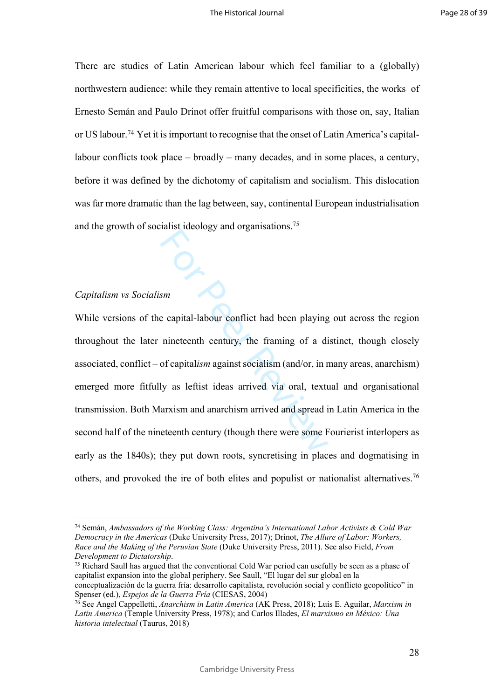There are studies of Latin American labour which feel familiar to a (globally) northwestern audience: while they remain attentive to local specificities, the works of Ernesto Semán and Paulo Drinot offer fruitful comparisons with those on, say, Italian or US labour.74 Yet it is important to recognise that the onset of Latin America's capitallabour conflicts took place – broadly – many decades, and in some places, a century, before it was defined by the dichotomy of capitalism and socialism. This dislocation was far more dramatic than the lag between, say, continental European industrialisation and the growth of socialist ideology and organisations.<sup>75</sup>

# *Capitalism vs Socialism*

sm<br>
Sm<br>
Sm<br>
Example and the example and the playing<br>
inneteenth century, the framing of a divergent<br>
of capitalism against socialism (and/or, in r<br>
ly as left is ideas arrived via oral, text<br>
arxism and anarchism arrived a While versions of the capital-labour conflict had been playing out across the region throughout the later nineteenth century, the framing of a distinct, though closely associated, conflict – of capital*ism* against socialism (and/or, in many areas, anarchism) emerged more fitfully as leftist ideas arrived via oral, textual and organisational transmission. Both Marxism and anarchism arrived and spread in Latin America in the second half of the nineteenth century (though there were some Fourierist interlopers as early as the 1840s); they put down roots, syncretising in places and dogmatising in others, and provoked the ire of both elites and populist or nationalist alternatives.<sup>76</sup>

<sup>74</sup> Semán, *Ambassadors of the Working Class: Argentina's International Labor Activists & Cold War Democracy in the Americas* (Duke University Press, 2017); Drinot, *The Allure of Labor: Workers, Race and the Making of the Peruvian State* (Duke University Press, 2011). See also Field, *From Development to Dictatorship* .

<sup>75</sup> Richard Saull has argued that the conventional Cold War period can usefully be seen as a phase of capitalist expansion into the global periphery. See Saull, "El lugar del sur global en la conceptualización de la guerra fría: desarrollo capitalista, revolución social y conflicto geopolítico" in Spenser (ed.), *Espejos de la Guerra Fría* (CIESAS, 2004)

<sup>76</sup> See Angel Cappelletti, *Anarchism in Latin America* (AK Press, 2018); Luis E. Aguilar, *Marxism in Latin America* (Temple University Press, 1978); and Carlos Illades, *El marxismo en México: Una historia intelectual* (Taurus, 2018)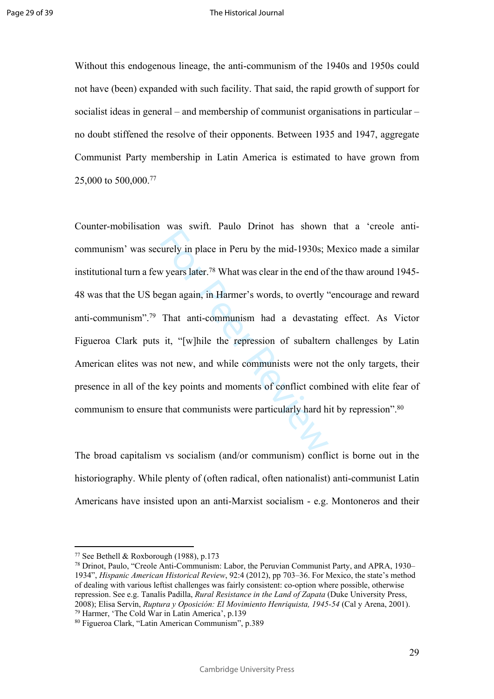Without this endogenous lineage, the anti-communism of the 1940s and 1950s could not have (been) expanded with such facility. That said, the rapid growth of support for socialist ideas in general – and membership of communist organisations in particular – no doubt stiffened the resolve of their opponents. Between 1935 and 1947, aggregate Communist Party membership in Latin America is estimated to have grown from 25,000 to 500,000.<sup>77</sup>

we same since and shown<br>turely in place in Peru by the mid-1930s; ly years later.<sup>78</sup> What was clear in the end of<br>egan again, in Harmer's words, to overtly '<br>That anti-communism had a devastatin<br>it, "[w]hile the repressi Counter-mobilisation was swift. Paulo Drinot has shown that a 'creole anticommunism' was securely in place in Peru by the mid-1930s; Mexico made a similar institutional turn a few years later.<sup>78</sup> What was clear in the end of the thaw around 1945- 48 was that the US began again, in Harmer's words, to overtly "encourage and reward anti-communism".<sup>79</sup> That anti-communism had a devastating effect. As Victor Figueroa Clark puts it, "[w]hile the repression of subaltern challenges by Latin American elites was not new, and while communists were not the only targets, their presence in all of the key points and moments of conflict combined with elite fear of communism to ensure that communists were particularly hard hit by repression".<sup>80</sup>

The broad capitalism vs socialism (and/or communism) conflict is borne out in the historiography. While plenty of (often radical, often nationalist) anti-communist Latin Americans have insisted upon an anti-Marxist socialism - e.g. Montoneros and their

<sup>77</sup> See Bethell & Roxborough (1988), p.173

<sup>78</sup> Drinot, Paulo, "Creole Anti-Communism: Labor, the Peruvian Communist Party, and APRA, 1930– 1934", *Hispanic American Historical Review*, 92:4 (2012), pp 703–36. For Mexico, the state's method of dealing with various leftist challenges was fairly consistent: co-option where possible, otherwise repression. See e.g. Tanalís Padilla, *Rural Resistance in the Land of Zapata* (Duke University Press, 2008); Elisa Servín, *Ruptura y Oposición: El Movimiento Henriquista, 1945-54* (Cal y Arena, 2001). <sup>79</sup> Harmer, 'The Cold War in Latin America', p.139

<sup>80</sup> Figueroa Clark, "Latin American Communism", p.389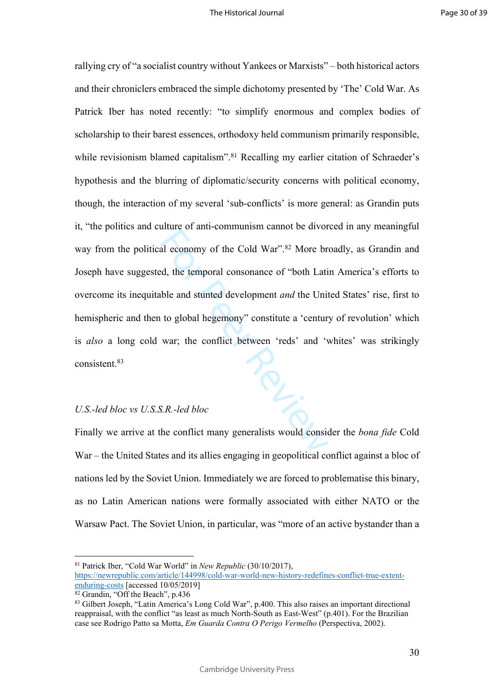al economy of the Cold War".<sup>82</sup> More brack that<br>al economy of the Cold War".<sup>82</sup> More brack<br>d, the temporal consonance of "both Latit<br>ble and stunted development *and* the Unit<br>to global hegemony" constitute a 'centur<br>war rallying cry of "a socialist country without Yankees or Marxists" – both historical actors and their chroniclers embraced the simple dichotomy presented by 'The' Cold War. As Patrick Iber has noted recently: "to simplify enormous and complex bodies of scholarship to their barest essences, orthodoxy held communism primarily responsible, while revisionism blamed capitalism".<sup>81</sup> Recalling my earlier citation of Schraeder's hypothesis and the blurring of diplomatic/security concerns with political economy, though, the interaction of my several 'sub-conflicts' is more general: as Grandin puts it, "the politics and culture of anti-communism cannot be divorced in any meaningful way from the political economy of the Cold War".<sup>82</sup> More broadly, as Grandin and Joseph have suggested, the temporal consonance of "both Latin America's efforts to overcome its inequitable and stunted development *and* the United States' rise, first to hemispheric and then to global hegemony" constitute a 'century of revolution' which is *also* a long cold war; the conflict between 'reds' and 'whites' was strikingly consistent.<sup>83</sup>

# *U.S.-led bloc vs U.S.S.R.-led bloc*

Finally we arrive at the conflict many generalists would consider the *bona fide* Cold War – the United States and its allies engaging in geopolitical conflict against a bloc of nations led by the Soviet Union. Immediately we are forced to problematise this binary, as no Latin American nations were formally associated with either NATO or the Warsaw Pact. The Soviet Union, in particular, was "more of an active bystander than a

<sup>81</sup> Patrick Iber, "Cold War World" in *New Republic* (30/10/2017), [https://newrepublic.com/article/144998/cold-war-world-new-history-redefines-conflict-true-extent](https://newrepublic.com/article/144998/cold-war-world-new-history-redefines-conflict-true-extent-enduring-costs)[enduring-costs](https://newrepublic.com/article/144998/cold-war-world-new-history-redefines-conflict-true-extent-enduring-costs) [accessed 10/05/2019]

<sup>82</sup> Grandin, "Off the Beach", p.436

<sup>83</sup> Gilbert Joseph, "Latin America's Long Cold War", p.400. This also raises an important directional reappraisal, with the conflict "as least as much North-South as East-West" (p.401). For the Brazilian case see Rodrigo Patto sa Motta, *Em Guarda Contra O Perigo Vermelho* (Perspectiva, 2002).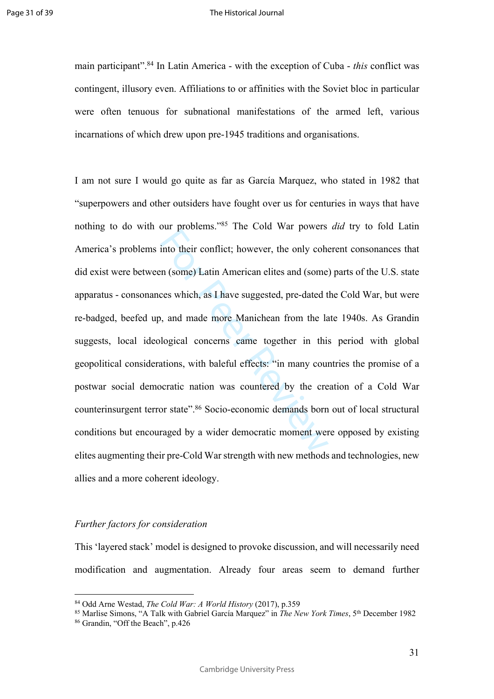main participant".<sup>84</sup> In Latin America - with the exception of Cuba - *this* conflict was contingent, illusory even. Affiliations to or affinities with the Soviet bloc in particular were often tenuous for subnational manifestations of the armed left, various incarnations of which drew upon pre-1945 traditions and organisations.

out procedure. The cold wat powers<br>into their conflict; however, the only cohe<br>n (some) Latin American elites and (some)<br>ces which, as I have suggested, pre-dated t<br>, and made more Manichean from the la<br>logical concerns ca I am not sure I would go quite as far as García Marquez, who stated in 1982 that "superpowers and other outsiders have fought over us for centuries in ways that have nothing to do with our problems."<sup>85</sup> The Cold War powers *did* try to fold Latin America's problems into their conflict; however, the only coherent consonances that did exist were between (some) Latin American elites and (some) parts of the U.S. state apparatus - consonances which, as I have suggested, pre-dated the Cold War, but were re-badged, beefed up, and made more Manichean from the late 1940s. As Grandin suggests, local ideological concerns came together in this period with global geopolitical considerations, with baleful effects: "in many countries the promise of a postwar social democratic nation was countered by the creation of a Cold War counterinsurgent terror state".<sup>86</sup> Socio-economic demands born out of local structural conditions but encouraged by a wider democratic moment were opposed by existing elites augmenting their pre-Cold War strength with new methods and technologies, new allies and a more coherent ideology.

# *Further factors for consideration*

This 'layered stack' model is designed to provoke discussion, and will necessarily need modification and augmentation. Already four areas seem to demand further

31

<sup>84</sup> Odd Arne Westad, *The Cold War: A World History* (2017), p.359

<sup>85</sup> Marlise Simons, "A Talk with Gabriel García Marquez" in *The New York Times*, 5th December 1982

<sup>86</sup> Grandin, "Off the Beach", p.426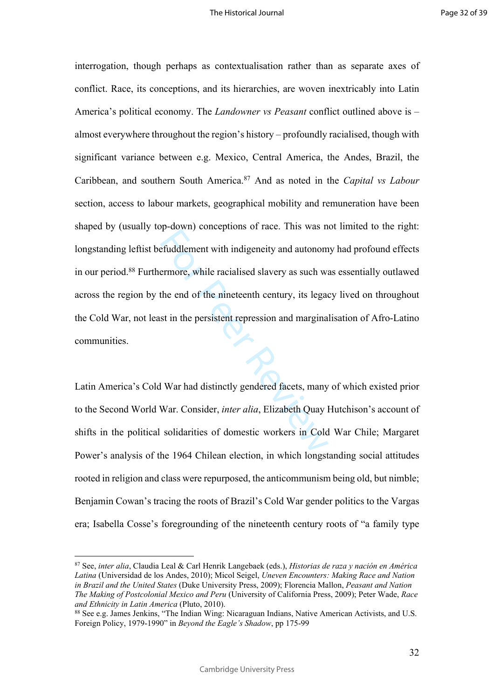Fuddlement with indigeneity and autonom<br>ermore, while racialised slavery as such was<br>the end of the nineteenth century, its legad<br>st in the persistent repression and margina<br>st in the persistent repression and margina<br>Next interrogation, though perhaps as contextualisation rather than as separate axes of conflict. Race, its conceptions, and its hierarchies, are woven inextricably into Latin America's political economy. The *Landowner vs Peasant* conflict outlined above is – almost everywhere throughout the region's history – profoundly racialised, though with significant variance between e.g. Mexico, Central America, the Andes, Brazil, the Caribbean, and southern South America.<sup>87</sup> And as noted in the *Capital vs Labour* section, access to labour markets, geographical mobility and remuneration have been shaped by (usually top-down) conceptions of race. This was not limited to the right: longstanding leftist befuddlement with indigeneity and autonomy had profound effects in our period.<sup>88</sup> Furthermore, while racialised slavery as such was essentially outlawed across the region by the end of the nineteenth century, its legacy lived on throughout the Cold War, not least in the persistent repression and marginalisation of Afro-Latino communities.

Latin America's Cold War had distinctly gendered facets, many of which existed prior to the Second World War. Consider, *inter alia*, Elizabeth Quay Hutchison's account of shifts in the political solidarities of domestic workers in Cold War Chile; Margaret Power's analysis of the 1964 Chilean election, in which longstanding social attitudes rooted in religion and class were repurposed, the anticommunism being old, but nimble; Benjamin Cowan's tracing the roots of Brazil's Cold War gender politics to the Vargas era; Isabella Cosse's foregrounding of the nineteenth century roots of "a family type

<sup>87</sup> See, *inter alia*, Claudia Leal & Carl Henrik Langebaek (eds.), *Historias de raza y nación en América Latina* (Universidad de los Andes, 2010); Micol Seigel, *Uneven Encounters: Making Race and Nation in Brazil and the United States* (Duke University Press, 2009); Florencia Mallon, *Peasant and Nation The Making of Postcolonial Mexico and Peru* (University of California Press, 2009); Peter Wade, *Race and Ethnicity in Latin America* (Pluto, 2010).

<sup>88</sup> See e.g. James Jenkins, "The Indian Wing: Nicaraguan Indians, Native American Activists, and U.S. Foreign Policy, 1979-1990" in *Beyond the Eagle's Shadow*, pp 175-99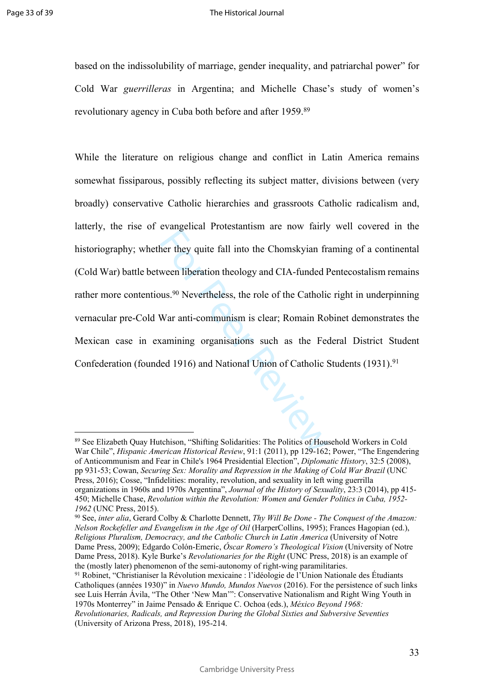based on the indissolubility of marriage, gender inequality, and patriarchal power" for Cold War *guerrilleras* in Argentina; and Michelle Chase's study of women's revolutionary agency in Cuba both before and after 1959.<sup>89</sup>

For they quite fall into the Chomskyian frameword and the most space of the Catholic was.<sup>90</sup> Nevertheless, the role of the Catholic War anti-communism is clear; Romain Ro camining organisations such as the Feed 1916) and While the literature on religious change and conflict in Latin America remains somewhat fissiparous, possibly reflecting its subject matter, divisions between (very broadly) conservative Catholic hierarchies and grassroots Catholic radicalism and, latterly, the rise of evangelical Protestantism are now fairly well covered in the historiography; whether they quite fall into the Chomskyian framing of a continental (Cold War) battle between liberation theology and CIA-funded Pentecostalism remains rather more contentious.<sup>90</sup> Nevertheless, the role of the Catholic right in underpinning vernacular pre-Cold War anti-communism is clear; Romain Robinet demonstrates the Mexican case in examining organisations such as the Federal District Student Confederation (founded 1916) and National Union of Catholic Students (1931).<sup>91</sup>

<sup>89</sup> See Elizabeth Quay Hutchison, "Shifting Solidarities: The Politics of Household Workers in Cold War Chile", *Hispanic American Historical Review*, 91:1 (2011), pp 129-162; Power, "The Engendering of Anticommunism and Fear in Chile's 1964 Presidential Election", *Diplomatic History*, 32:5 (2008), pp 931-53; Cowan, *Securing Sex: Morality and Repression in the Making of Cold War Brazil* (UNC Press, 2016); Cosse, "Infidelities: morality, revolution, and sexuality in left wing guerrilla organizations in 1960s and 1970s Argentina", *Journal of the History of Sexuality*, 23:3 (2014), pp 415- 450; Michelle Chase, *Revolution within the Revolution: Women and Gender Politics in Cuba, 1952- 1962* (UNC Press, 2015).

<sup>90</sup> See, *inter alia*, Gerard Colby & Charlotte Dennett, *Thy Will Be Done - The Conquest of the Amazon: Nelson Rockefeller and Evangelism in the Age of Oil* (HarperCollins, 1995); Frances Hagopian (ed.), *Religious Pluralism, Democracy, and the Catholic Church in Latin America* (University of Notre Dame Press, 2009); Edgardo Colón-Emeric, *Óscar Romero's Theological Vision* (University of Notre Dame Press, 2018). Kyle Burke's *Revolutionaries for the Right* (UNC Press, 2018) is an example of the (mostly later) phenomenon of the semi-autonomy of right-wing paramilitaries.

<sup>91</sup> Robinet, "Christianiser la Révolution mexicaine : l'idéologie de l'Union Nationale des Étudiants Catholiques (années 1930)" in *Nuevo Mundo, Mundos Nuevos* (2016). For the persistence of such links see Luis Herrán Ávila, "The Other 'New Man'": Conservative Nationalism and Right Wing Youth in 1970s Monterrey" in Jaime Pensado & Enrique C. Ochoa (eds.), *México Beyond 1968:* 

*Revolutionaries, Radicals, and Repression During the Global Sixties and Subversive Seventies* (University of Arizona Press, 2018), 195-214.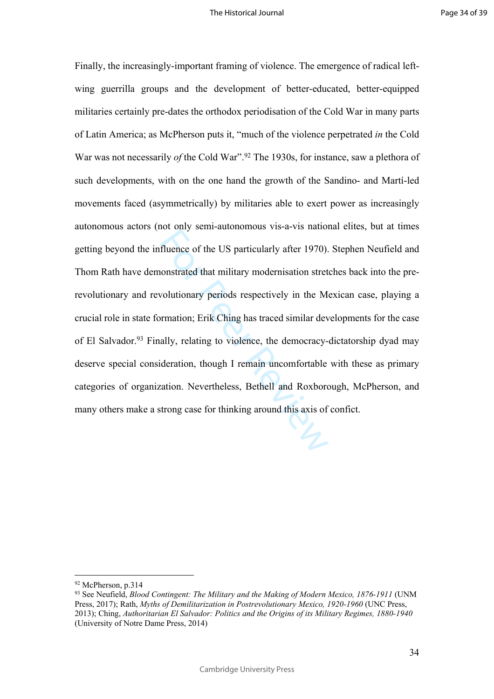From all and the US particularly after 1970).<br>
fluence of the US particularly after 1970).<br>
constrated that military modernisation stret<br>
volutionary periods respectively in the Memorital review.<br>
Finally, relating to viol Finally, the increasingly-important framing of violence. The emergence of radical leftwing guerrilla groups and the development of better-educated, better-equipped militaries certainly pre-dates the orthodox periodisation of the Cold War in many parts of Latin America; as McPherson puts it, "much of the violence perpetrated *in* the Cold War was not necessarily *of* the Cold War".<sup>92</sup> The 1930s, for instance, saw a plethora of such developments, with on the one hand the growth of the Sandino- and Martí-led movements faced (asymmetrically) by militaries able to exert power as increasingly autonomous actors (not only semi-autonomous vis-a-vis national elites, but at times getting beyond the influence of the US particularly after 1970). Stephen Neufield and Thom Rath have demonstrated that military modernisation stretches back into the prerevolutionary and revolutionary periods respectively in the Mexican case, playing a crucial role in state formation; Erik Ching has traced similar developments for the case of El Salvador.<sup>93</sup> Finally, relating to violence, the democracy-dictatorship dyad may deserve special consideration, though I remain uncomfortable with these as primary categories of organization. Nevertheless, Bethell and Roxborough, McPherson, and many others make a strong case for thinking around this axis of confict.

<sup>92</sup> McPherson, p.314

<sup>93</sup> See Neufield, *Blood Contingent: The Military and the Making of Modern Mexico, 1876-1911* (UNM Press, 2017); Rath, *Myths of Demilitarization in Postrevolutionary Mexico, 1920-1960* (UNC Press, 2013); Ching, *Authoritarian El Salvador: Politics and the Origins of its Military Regimes, 1880-1940*  (University of Notre Dame Press, 2014)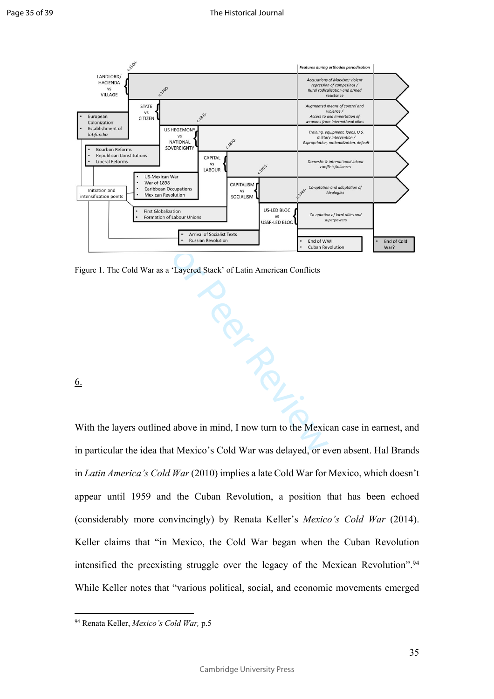

Figure 1. The Cold War as a 'Layered Stack' of Latin American Conflicts

6.

With the layers outlined above in mind, I now turn to the Mexican case in earnest, and in particular the idea that Mexico's Cold War was delayed, or even absent. Hal Brands in *Latin America's Cold War* (2010) implies a late Cold War for Mexico, which doesn't appear until 1959 and the Cuban Revolution, a position that has been echoed (considerably more convincingly) by Renata Keller's *Mexico's Cold War* (2014). Keller claims that "in Mexico, the Cold War began when the Cuban Revolution intensified the preexisting struggle over the legacy of the Mexican Revolution".<sup>94</sup> While Keller notes that "various political, social, and economic movements emerged

<sup>94</sup> Renata Keller, *Mexico's Cold War,* p.5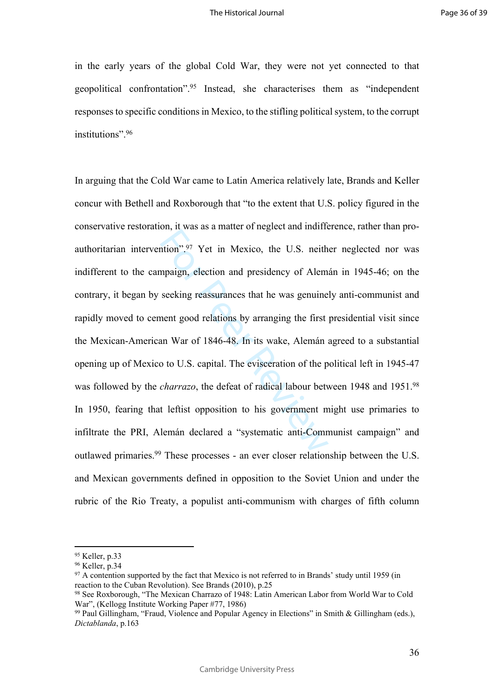in the early years of the global Cold War, they were not yet connected to that geopolitical confrontation".<sup>95</sup> Instead, she characterises them as "independent responses to specific conditions in Mexico, to the stifling political system, to the corrupt institutions".<sup>96</sup>

of the U.S. neith<br>mpaign, election and presidency of Alem<br>seeking reassurances that he was genuine<br>nent good relations by arranging the first<br>an War of 1846-48. In its wake, Alemán a<br>b to U.S. capital. The evisceration of In arguing that the Cold War came to Latin America relatively late, Brands and Keller concur with Bethell and Roxborough that "to the extent that U.S. policy figured in the conservative restoration, it was as a matter of neglect and indifference, rather than proauthoritarian intervention".<sup>97</sup> Yet in Mexico, the U.S. neither neglected nor was indifferent to the campaign, election and presidency of Alemán in 1945-46; on the contrary, it began by seeking reassurances that he was genuinely anti-communist and rapidly moved to cement good relations by arranging the first presidential visit since the Mexican-American War of 1846-48. In its wake, Alemán agreed to a substantial opening up of Mexico to U.S. capital. The evisceration of the political left in 1945-47 was followed by the *charrazo*, the defeat of radical labour between 1948 and 1951.<sup>98</sup> In 1950, fearing that leftist opposition to his government might use primaries to infiltrate the PRI, Alemán declared a "systematic anti-Communist campaign" and outlawed primaries.<sup>99</sup> These processes - an ever closer relationship between the U.S. and Mexican governments defined in opposition to the Soviet Union and under the rubric of the Rio Treaty, a populist anti-communism with charges of fifth column

<sup>95</sup> Keller, p.33

<sup>96</sup> Keller, p.34

<sup>&</sup>lt;sup>97</sup> A contention supported by the fact that Mexico is not referred to in Brands' study until 1959 (in reaction to the Cuban Revolution). See Brands (2010), p.25

<sup>98</sup> See Roxborough, "The Mexican Charrazo of 1948: Latin American Labor from World War to Cold War", (Kellogg Institute Working Paper #77, 1986)

<sup>99</sup> Paul Gillingham, "Fraud, Violence and Popular Agency in Elections" in Smith & Gillingham (eds.), *Dictablanda*, p.163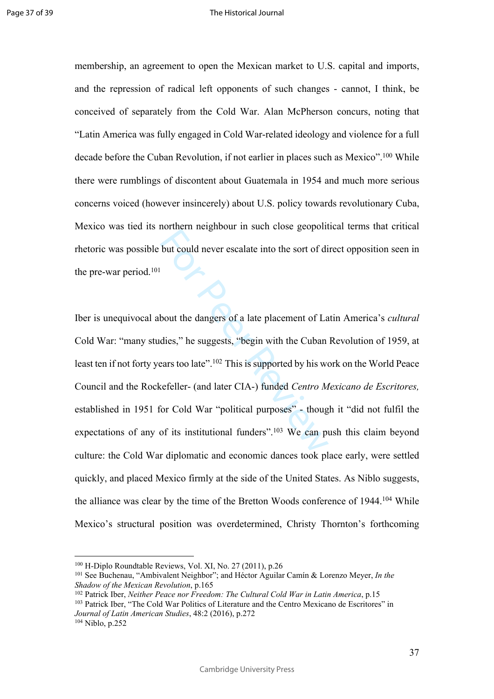membership, an agreement to open the Mexican market to U.S. capital and imports, and the repression of radical left opponents of such changes - cannot, I think, be conceived of separately from the Cold War. Alan McPherson concurs, noting that "Latin America was fully engaged in Cold War-related ideology and violence for a full decade before the Cuban Revolution, if not earlier in places such as Mexico".<sup>100</sup> While there were rumblings of discontent about Guatemala in 1954 and much more serious concerns voiced (however insincerely) about U.S. policy towards revolutionary Cuba, Mexico was tied its northern neighbour in such close geopolitical terms that critical rhetoric was possible but could never escalate into the sort of direct opposition seen in the pre-war period.<sup>101</sup>

but could never escalate into the sort of dividend method of the sort of dividend the sort of dividend the sort of dividend dies," he suggests, "begin with the Cuban ears too late".<sup>102</sup> This is supported by his we cefelle Iber is unequivocal about the dangers of a late placement of Latin America's *cultural* Cold War: "many studies," he suggests, "begin with the Cuban Revolution of 1959, at least ten if not forty years too late".<sup>102</sup> This is supported by his work on the World Peace Council and the Rockefeller- (and later CIA-) funded *Centro Mexicano de Escritores,* established in 1951 for Cold War "political purposes" - though it "did not fulfil the expectations of any of its institutional funders".<sup>103</sup> We can push this claim beyond culture: the Cold War diplomatic and economic dances took place early, were settled quickly, and placed Mexico firmly at the side of the United States. As Niblo suggests, the alliance was clear by the time of the Bretton Woods conference of 1944.<sup>104</sup> While Mexico's structural position was overdetermined, Christy Thornton's forthcoming

37

<sup>100</sup> H-Diplo Roundtable Reviews, Vol. XI, No. 27 (2011), p.26

<sup>101</sup> See Buchenau, "Ambivalent Neighbor"; and Héctor Aguilar Camín & Lorenzo Meyer, *In the Shadow of the Mexican Revolution*, p.165

<sup>102</sup> Patrick Iber, *Neither Peace nor Freedom: The Cultural Cold War in Latin America*, p.15 <sup>103</sup> Patrick Iber, "The Cold War Politics of Literature and the Centro Mexicano de Escritores" in *Journal of Latin American Studies*, 48:2 (2016), p.272 <sup>104</sup> Niblo, p.252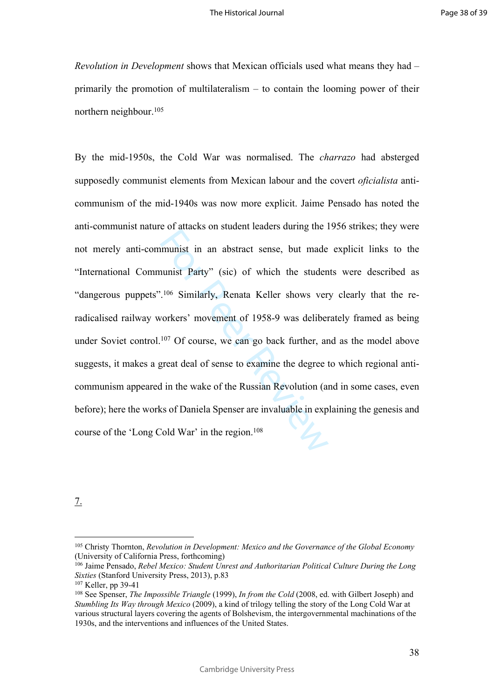*Revolution in Development* shows that Mexican officials used what means they had – primarily the promotion of multilateralism – to contain the looming power of their northern neighbour.<sup>105</sup>

munist in an abstract sense, but made<br>nunist Party" (sic) of which the studen<br>.<sup>106</sup> Similarly, Renata Keller shows ver<br>vorkers' movement of 1958-9 was deliber<br><sup>107</sup> Of course, we can go back further, ar<br>great deal of sens By the mid-1950s, the Cold War was normalised. The *charrazo* had absterged supposedly communist elements from Mexican labour and the covert *oficialista* anticommunism of the mid-1940s was now more explicit. Jaime Pensado has noted the anti-communist nature of attacks on student leaders during the 1956 strikes; they were not merely anti-communist in an abstract sense, but made explicit links to the "International Communist Party" (sic) of which the students were described as "dangerous puppets".106 Similarly, Renata Keller shows very clearly that the reradicalised railway workers' movement of 1958-9 was deliberately framed as being under Soviet control.<sup>107</sup> Of course, we can go back further, and as the model above suggests, it makes a great deal of sense to examine the degree to which regional anticommunism appeared in the wake of the Russian Revolution (and in some cases, even before); here the works of Daniela Spenser are invaluable in explaining the genesis and course of the 'Long Cold War' in the region.<sup>108</sup>

7.

<sup>105</sup> Christy Thornton, *Revolution in Development: Mexico and the Governance of the Global Economy* (University of California Press, forthcoming)

<sup>&</sup>lt;sup>106</sup> Jaime Pensado, *Rebel Mexico: Student Unrest and Authoritarian Political Culture During the Long Sixties* (Stanford University Press, 2013), p.83

<sup>107</sup> Keller, pp 39-41

<sup>108</sup> See Spenser, *The Impossible Triangle* (1999), *In from the Cold* (2008, ed. with Gilbert Joseph) and *Stumbling Its Way through Mexico* (2009), a kind of trilogy telling the story of the Long Cold War at various structural layers covering the agents of Bolshevism, the intergovernmental machinations of the 1930s, and the interventions and influences of the United States.